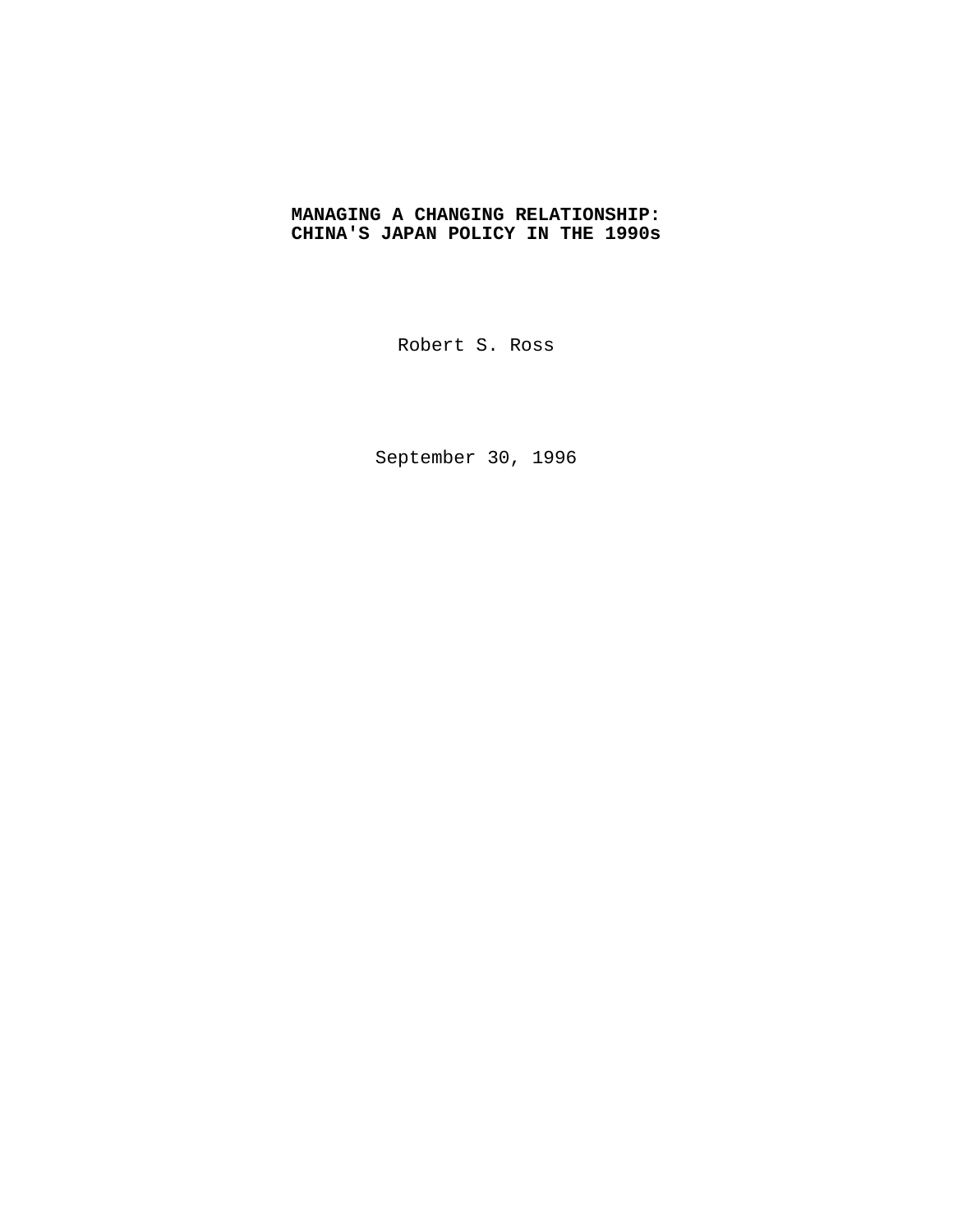# **MANAGING A CHANGING RELATIONSHIP: CHINA'S JAPAN POLICY IN THE 1990s**

Robert S. Ross

September 30, 1996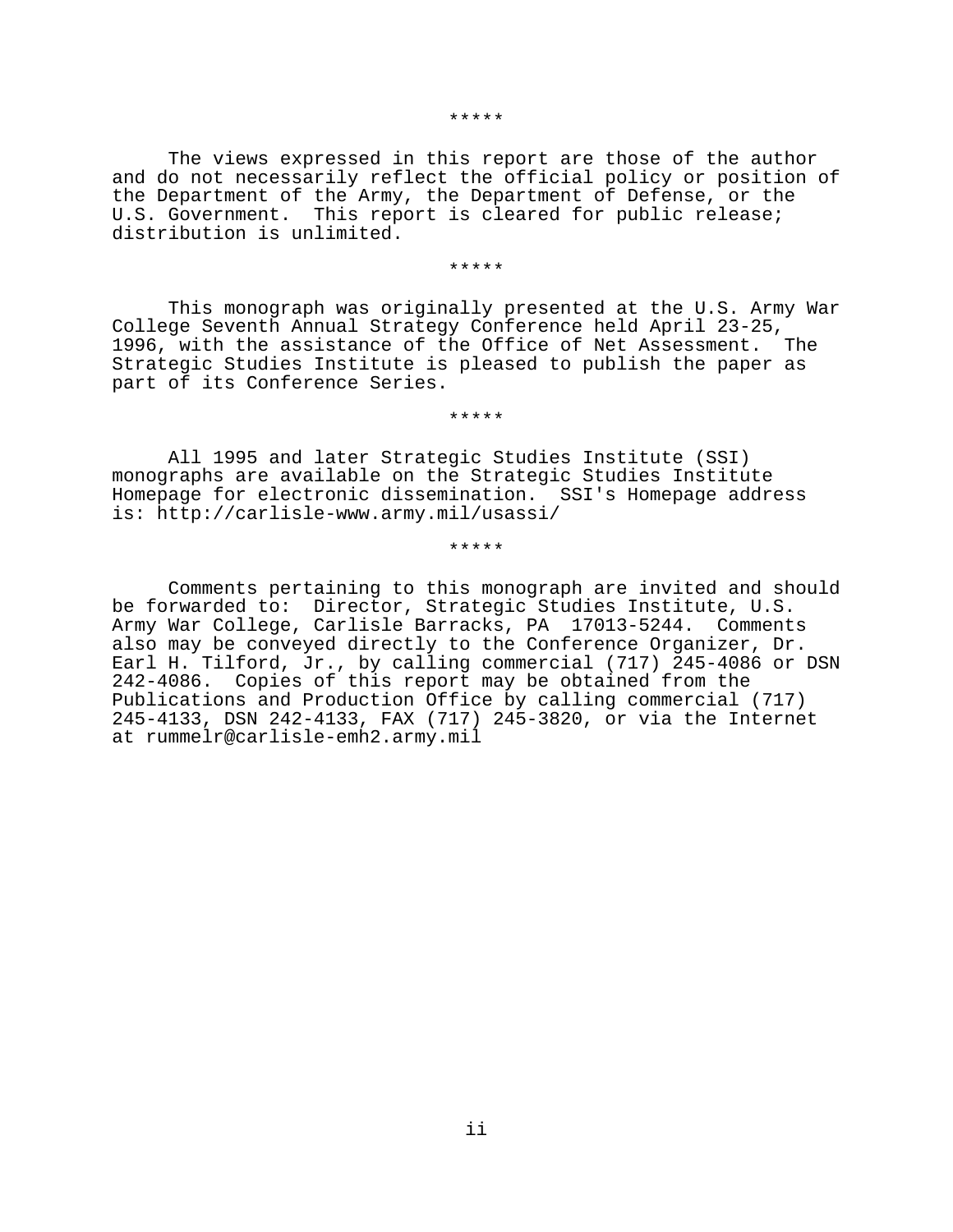#### \*\*\*\*\*

The views expressed in this report are those of the author and do not necessarily reflect the official policy or position of the Department of the Army, the Department of Defense, or the U.S. Government. This report is cleared for public release; distribution is unlimited.

#### \*\*\*\*\*

This monograph was originally presented at the U.S. Army War College Seventh Annual Strategy Conference held April 23-25, 1996, with the assistance of the Office of Net Assessment. The Strategic Studies Institute is pleased to publish the paper as part of its Conference Series.

\*\*\*\*\*

All 1995 and later Strategic Studies Institute (SSI) monographs are available on the Strategic Studies Institute Homepage for electronic dissemination. SSI's Homepage address is: http://carlisle-www.army.mil/usassi/

\*\*\*\*\*

Comments pertaining to this monograph are invited and should be forwarded to: Director, Strategic Studies Institute, U.S. Army War College, Carlisle Barracks, PA 17013-5244. Comments also may be conveyed directly to the Conference Organizer, Dr. Earl H. Tilford, Jr., by calling commercial (717) 245-4086 or DSN 242-4086. Copies of this report may be obtained from the Publications and Production Office by calling commercial (717) 245-4133, DSN 242-4133, FAX (717) 245-3820, or via the Internet at rummelr@carlisle-emh2.army.mil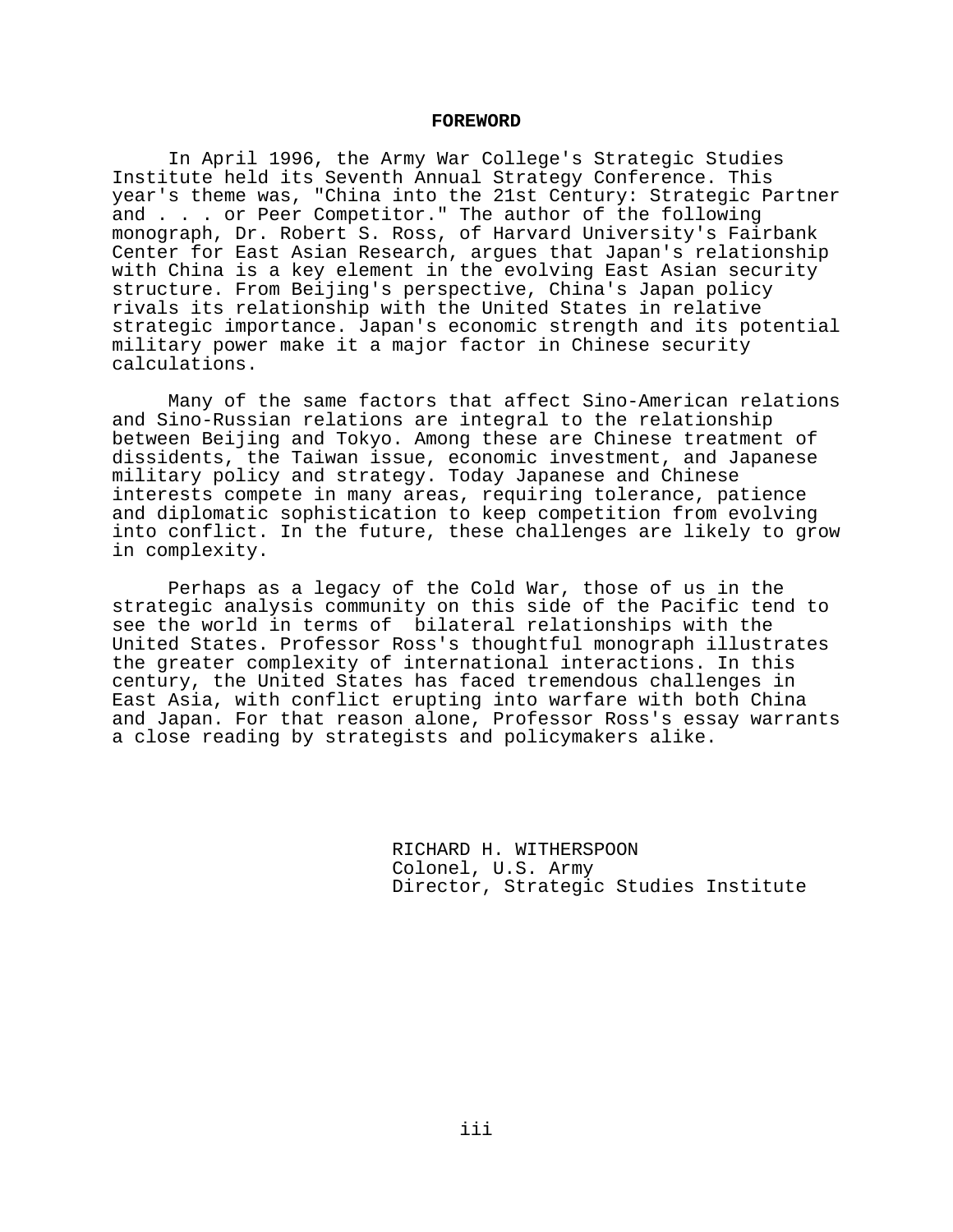### **FOREWORD**

In April 1996, the Army War College's Strategic Studies Institute held its Seventh Annual Strategy Conference. This year's theme was, "China into the 21st Century: Strategic Partner and . . . or Peer Competitor." The author of the following monograph, Dr. Robert S. Ross, of Harvard University's Fairbank Center for East Asian Research, argues that Japan's relationship with China is a key element in the evolving East Asian security structure. From Beijing's perspective, China's Japan policy rivals its relationship with the United States in relative strategic importance. Japan's economic strength and its potential military power make it a major factor in Chinese security calculations.

Many of the same factors that affect Sino-American relations and Sino-Russian relations are integral to the relationship between Beijing and Tokyo. Among these are Chinese treatment of dissidents, the Taiwan issue, economic investment, and Japanese military policy and strategy. Today Japanese and Chinese interests compete in many areas, requiring tolerance, patience and diplomatic sophistication to keep competition from evolving into conflict. In the future, these challenges are likely to grow in complexity.

Perhaps as a legacy of the Cold War, those of us in the strategic analysis community on this side of the Pacific tend to see the world in terms of bilateral relationships with the United States. Professor Ross's thoughtful monograph illustrates the greater complexity of international interactions. In this century, the United States has faced tremendous challenges in East Asia, with conflict erupting into warfare with both China and Japan. For that reason alone, Professor Ross's essay warrants a close reading by strategists and policymakers alike.

> RICHARD H. WITHERSPOON Colonel, U.S. Army Director, Strategic Studies Institute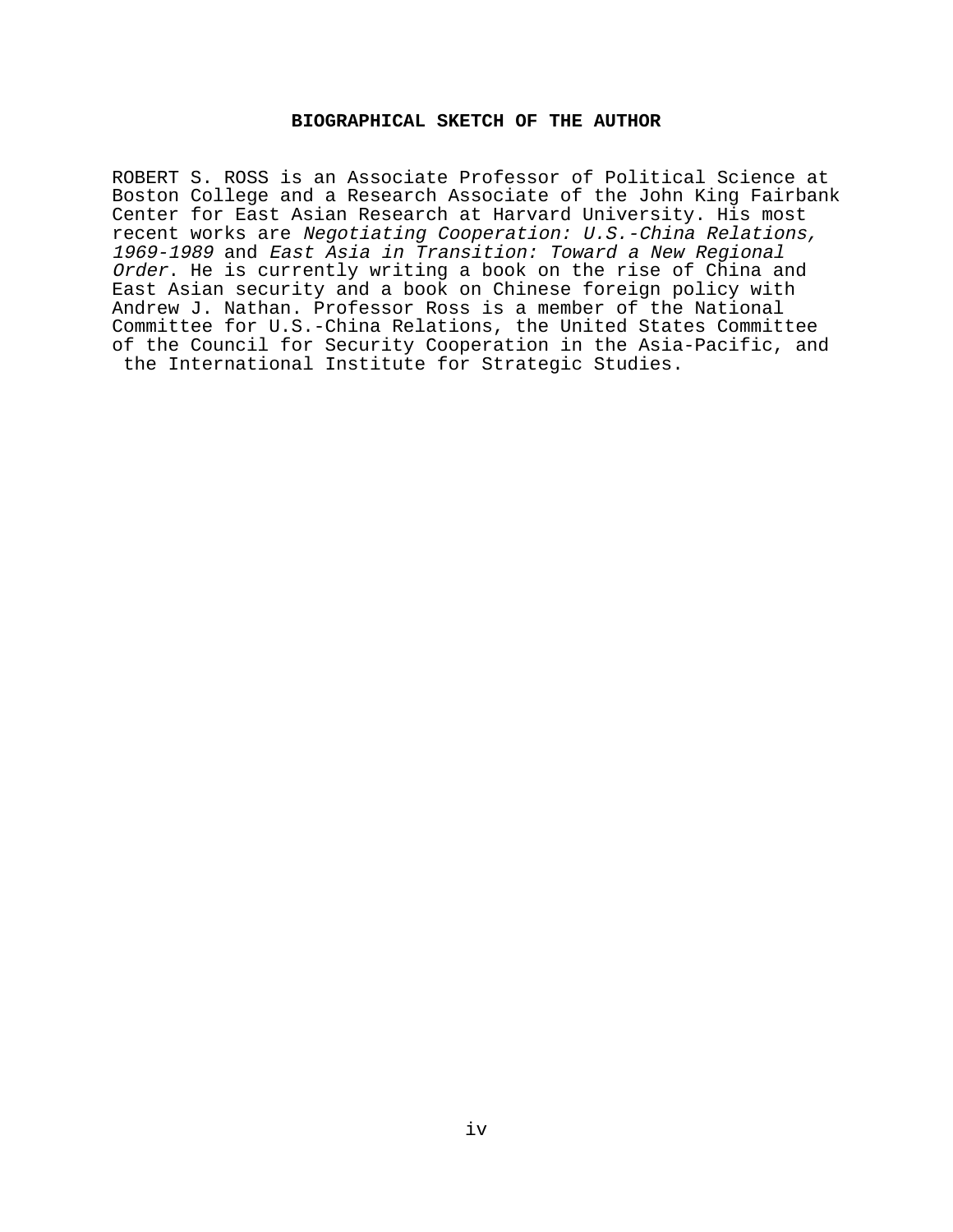# **BIOGRAPHICAL SKETCH OF THE AUTHOR**

ROBERT S. ROSS is an Associate Professor of Political Science at Boston College and a Research Associate of the John King Fairbank Center for East Asian Research at Harvard University. His most recent works are Negotiating Cooperation: U.S.-China Relations, 1969-1989 and East Asia in Transition: Toward a New Regional Order. He is currently writing a book on the rise of China and East Asian security and a book on Chinese foreign policy with Andrew J. Nathan. Professor Ross is a member of the National Committee for U.S.-China Relations, the United States Committee of the Council for Security Cooperation in the Asia-Pacific, and the International Institute for Strategic Studies.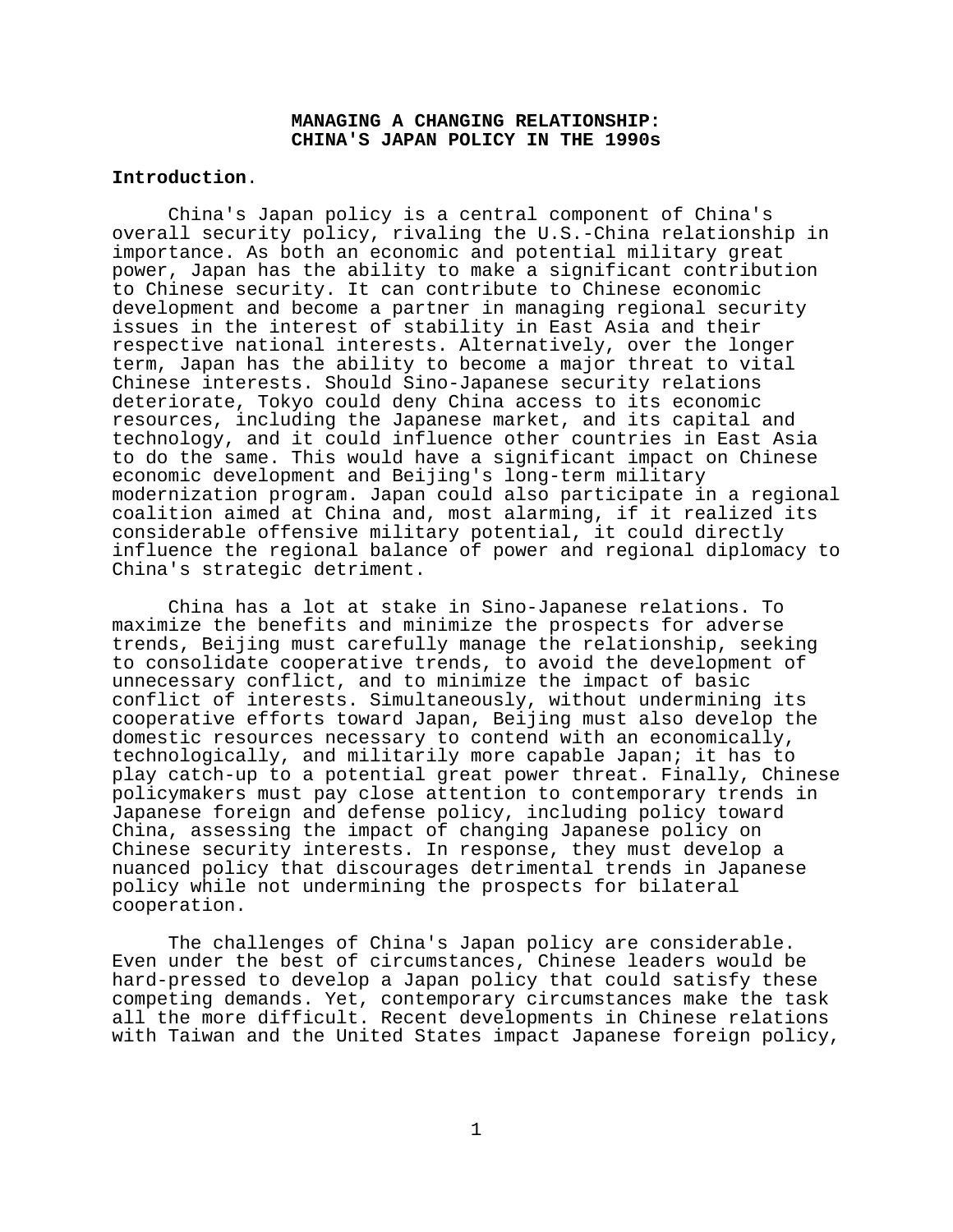# **MANAGING A CHANGING RELATIONSHIP: CHINA'S JAPAN POLICY IN THE 1990s**

## **Introduction**.

China's Japan policy is a central component of China's overall security policy, rivaling the U.S.-China relationship in importance. As both an economic and potential military great power, Japan has the ability to make a significant contribution to Chinese security. It can contribute to Chinese economic development and become a partner in managing regional security issues in the interest of stability in East Asia and their respective national interests. Alternatively, over the longer term, Japan has the ability to become a major threat to vital Chinese interests. Should Sino-Japanese security relations deteriorate, Tokyo could deny China access to its economic resources, including the Japanese market, and its capital and technology, and it could influence other countries in East Asia to do the same. This would have a significant impact on Chinese economic development and Beijing's long-term military modernization program. Japan could also participate in a regional coalition aimed at China and, most alarming, if it realized its considerable offensive military potential, it could directly influence the regional balance of power and regional diplomacy to China's strategic detriment.

China has a lot at stake in Sino-Japanese relations. To maximize the benefits and minimize the prospects for adverse trends, Beijing must carefully manage the relationship, seeking to consolidate cooperative trends, to avoid the development of unnecessary conflict, and to minimize the impact of basic conflict of interests. Simultaneously, without undermining its cooperative efforts toward Japan, Beijing must also develop the domestic resources necessary to contend with an economically, technologically, and militarily more capable Japan; it has to play catch-up to a potential great power threat. Finally, Chinese policymakers must pay close attention to contemporary trends in Japanese foreign and defense policy, including policy toward China, assessing the impact of changing Japanese policy on Chinese security interests. In response, they must develop a nuanced policy that discourages detrimental trends in Japanese policy while not undermining the prospects for bilateral cooperation.

The challenges of China's Japan policy are considerable. Even under the best of circumstances, Chinese leaders would be hard-pressed to develop a Japan policy that could satisfy these competing demands. Yet, contemporary circumstances make the task all the more difficult. Recent developments in Chinese relations with Taiwan and the United States impact Japanese foreign policy,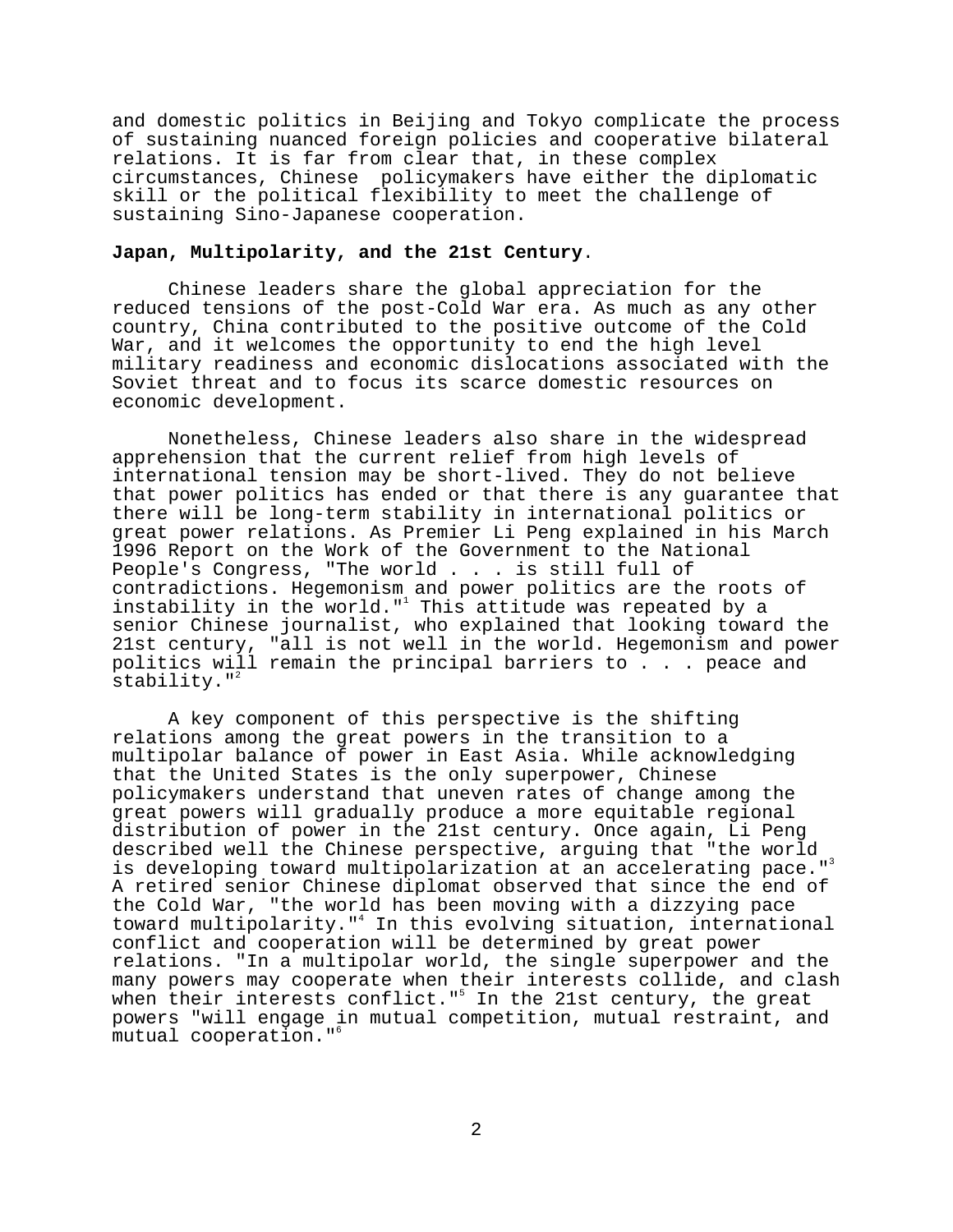and domestic politics in Beijing and Tokyo complicate the process of sustaining nuanced foreign policies and cooperative bilateral relations. It is far from clear that, in these complex circumstances, Chinese policymakers have either the diplomatic skill or the political flexibility to meet the challenge of sustaining Sino-Japanese cooperation.

# **Japan, Multipolarity, and the 21st Century**.

Chinese leaders share the global appreciation for the reduced tensions of the post-Cold War era. As much as any other country, China contributed to the positive outcome of the Cold War, and it welcomes the opportunity to end the high level military readiness and economic dislocations associated with the Soviet threat and to focus its scarce domestic resources on economic development.

Nonetheless, Chinese leaders also share in the widespread apprehension that the current relief from high levels of international tension may be short-lived. They do not believe that power politics has ended or that there is any guarantee that there will be long-term stability in international politics or great power relations. As Premier Li Peng explained in his March 1996 Report on the Work of the Government to the National People's Congress, "The world . . . is still full of contradictions. Hegemonism and power politics are the roots of instability in the world."<sup>1</sup> This attitude was repeated by a senior Chinese journalist, who explained that looking toward the 21st century, "all is not well in the world. Hegemonism and power politics will remain the principal barriers to . . . peace and stability. $"$ 

A key component of this perspective is the shifting relations among the great powers in the transition to a multipolar balance of power in East Asia. While acknowledging that the United States is the only superpower, Chinese policymakers understand that uneven rates of change among the great powers will gradually produce a more equitable regional distribution of power in the 21st century. Once again, Li Peng described well the Chinese perspective, arguing that "the world is developing toward multipolarization at an accelerating pace."3 A retired senior Chinese diplomat observed that since the end of the Cold War, "the world has been moving with a dizzying pace toward multipolarity."4 In this evolving situation, international conflict and cooperation will be determined by great power relations. "In a multipolar world, the single superpower and the many powers may cooperate when their interests collide, and clash when their interests conflict."<sup>5</sup> In the 21st century, the great powers "will engage in mutual competition, mutual restraint, and mutual cooperation."6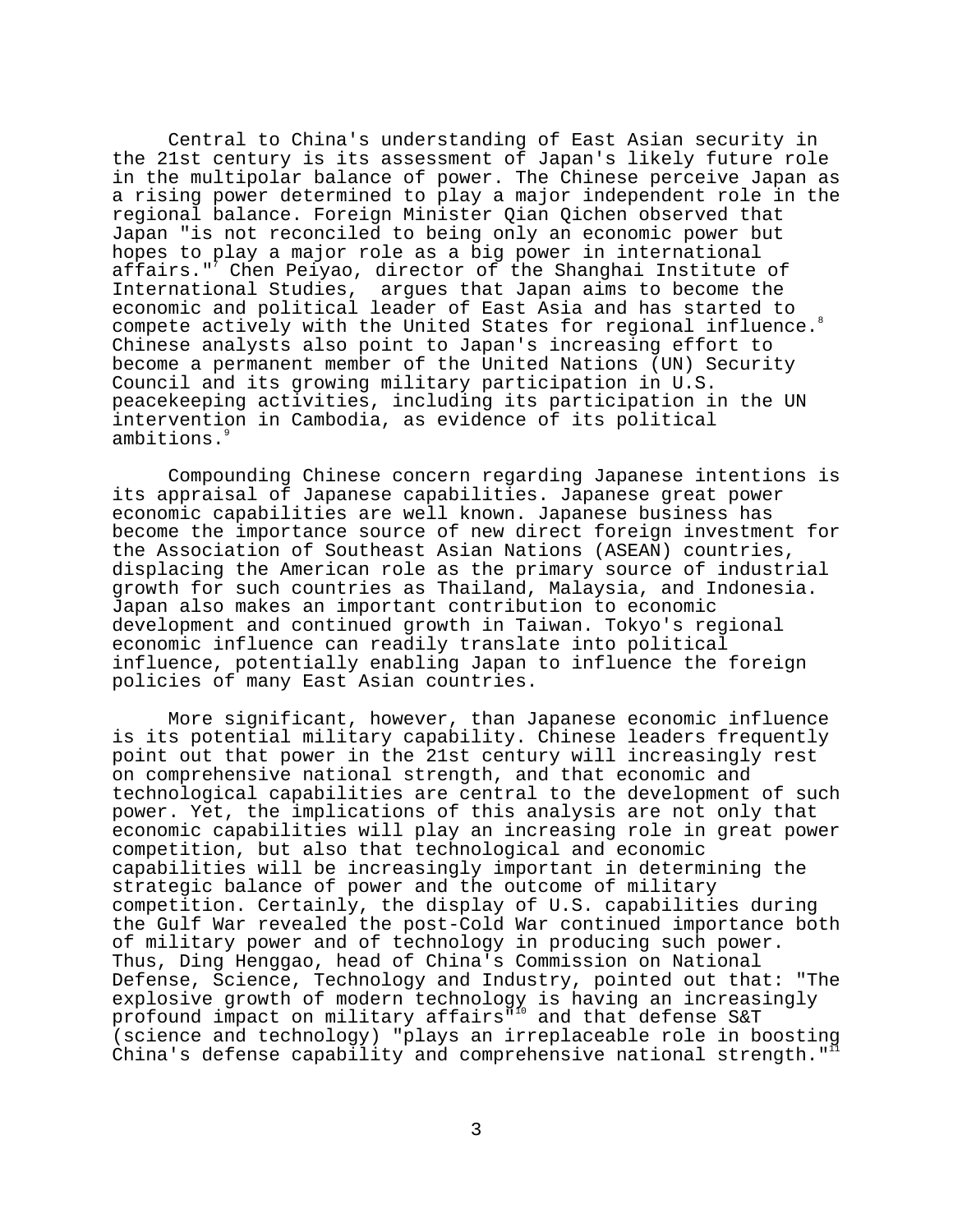Central to China's understanding of East Asian security in the 21st century is its assessment of Japan's likely future role in the multipolar balance of power. The Chinese perceive Japan as a rising power determined to play a major independent role in the regional balance. Foreign Minister Qian Qichen observed that Japan "is not reconciled to being only an economic power but hopes to play a major role as a big power in international affairs."<sup>7</sup> Chen Peiyao, director of the Shanghai Institute of International Studies, argues that Japan aims to become the economic and political leader of East Asia and has started to compete actively with the United States for regional influence.<sup>8</sup> Chinese analysts also point to Japan's increasing effort to become a permanent member of the United Nations (UN) Security Council and its growing military participation in U.S. peacekeeping activities, including its participation in the UN intervention in Cambodia, as evidence of its political ambitions.<sup>9</sup>

Compounding Chinese concern regarding Japanese intentions is its appraisal of Japanese capabilities. Japanese great power economic capabilities are well known. Japanese business has become the importance source of new direct foreign investment for the Association of Southeast Asian Nations (ASEAN) countries, displacing the American role as the primary source of industrial growth for such countries as Thailand, Malaysia, and Indonesia. Japan also makes an important contribution to economic development and continued growth in Taiwan. Tokyo's regional economic influence can readily translate into political influence, potentially enabling Japan to influence the foreign policies of many East Asian countries.

More significant, however, than Japanese economic influence is its potential military capability. Chinese leaders frequently point out that power in the 21st century will increasingly rest on comprehensive national strength, and that economic and technological capabilities are central to the development of such power. Yet, the implications of this analysis are not only that economic capabilities will play an increasing role in great power competition, but also that technological and economic capabilities will be increasingly important in determining the strategic balance of power and the outcome of military competition. Certainly, the display of U.S. capabilities during the Gulf War revealed the post-Cold War continued importance both of military power and of technology in producing such power. Thus, Ding Henggao, head of China's Commission on National Defense, Science, Technology and Industry, pointed out that: "The explosive growth of modern technology is having an increasingly profound impact on military affairs"10 and that defense S&T (science and technology) "plays an irreplaceable role in boosting China's defense capability and comprehensive national strength." $11$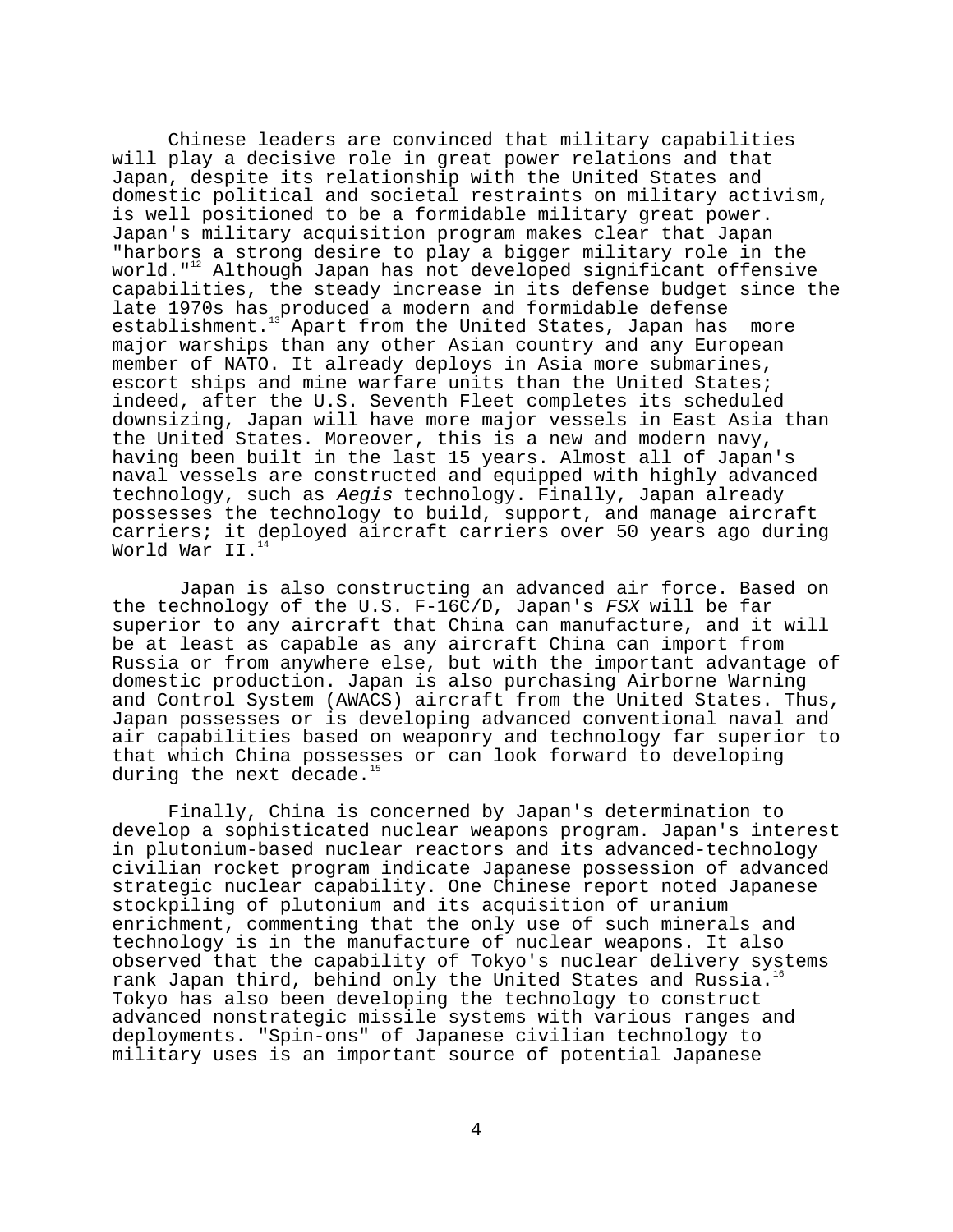Chinese leaders are convinced that military capabilities will play a decisive role in great power relations and that Japan, despite its relationship with the United States and domestic political and societal restraints on military activism, is well positioned to be a formidable military great power. Japan's military acquisition program makes clear that Japan "harbors a strong desire to play a bigger military role in the world."<sup>12</sup> Although Japan has not developed significant offensive capabilities, the steady increase in its defense budget since the late 1970s has produced a modern and formidable defense establishment.<sup>13</sup> Apart from the United States, Japan has Apart from the United States, Japan has more major warships than any other Asian country and any European member of NATO. It already deploys in Asia more submarines, escort ships and mine warfare units than the United States; indeed, after the U.S. Seventh Fleet completes its scheduled downsizing, Japan will have more major vessels in East Asia than the United States. Moreover, this is a new and modern navy, having been built in the last 15 years. Almost all of Japan's naval vessels are constructed and equipped with highly advanced technology, such as Aegis technology. Finally, Japan already possesses the technology to build, support, and manage aircraft carriers; it deployed aircraft carriers over 50 years ago during World War II.<sup>1</sup>

 Japan is also constructing an advanced air force. Based on the technology of the U.S. F-16C/D, Japan's FSX will be far superior to any aircraft that China can manufacture, and it will be at least as capable as any aircraft China can import from Russia or from anywhere else, but with the important advantage of domestic production. Japan is also purchasing Airborne Warning and Control System (AWACS) aircraft from the United States. Thus, Japan possesses or is developing advanced conventional naval and air capabilities based on weaponry and technology far superior to that which China possesses or can look forward to developing during the next decade.<sup>1</sup>

Finally, China is concerned by Japan's determination to develop a sophisticated nuclear weapons program. Japan's interest in plutonium-based nuclear reactors and its advanced-technology civilian rocket program indicate Japanese possession of advanced strategic nuclear capability. One Chinese report noted Japanese stockpiling of plutonium and its acquisition of uranium enrichment, commenting that the only use of such minerals and technology is in the manufacture of nuclear weapons. It also observed that the capability of Tokyo's nuclear delivery systems rank Japan third, behind only the United States and Russia.<sup>1</sup> Tokyo has also been developing the technology to construct advanced nonstrategic missile systems with various ranges and deployments. "Spin-ons" of Japanese civilian technology to military uses is an important source of potential Japanese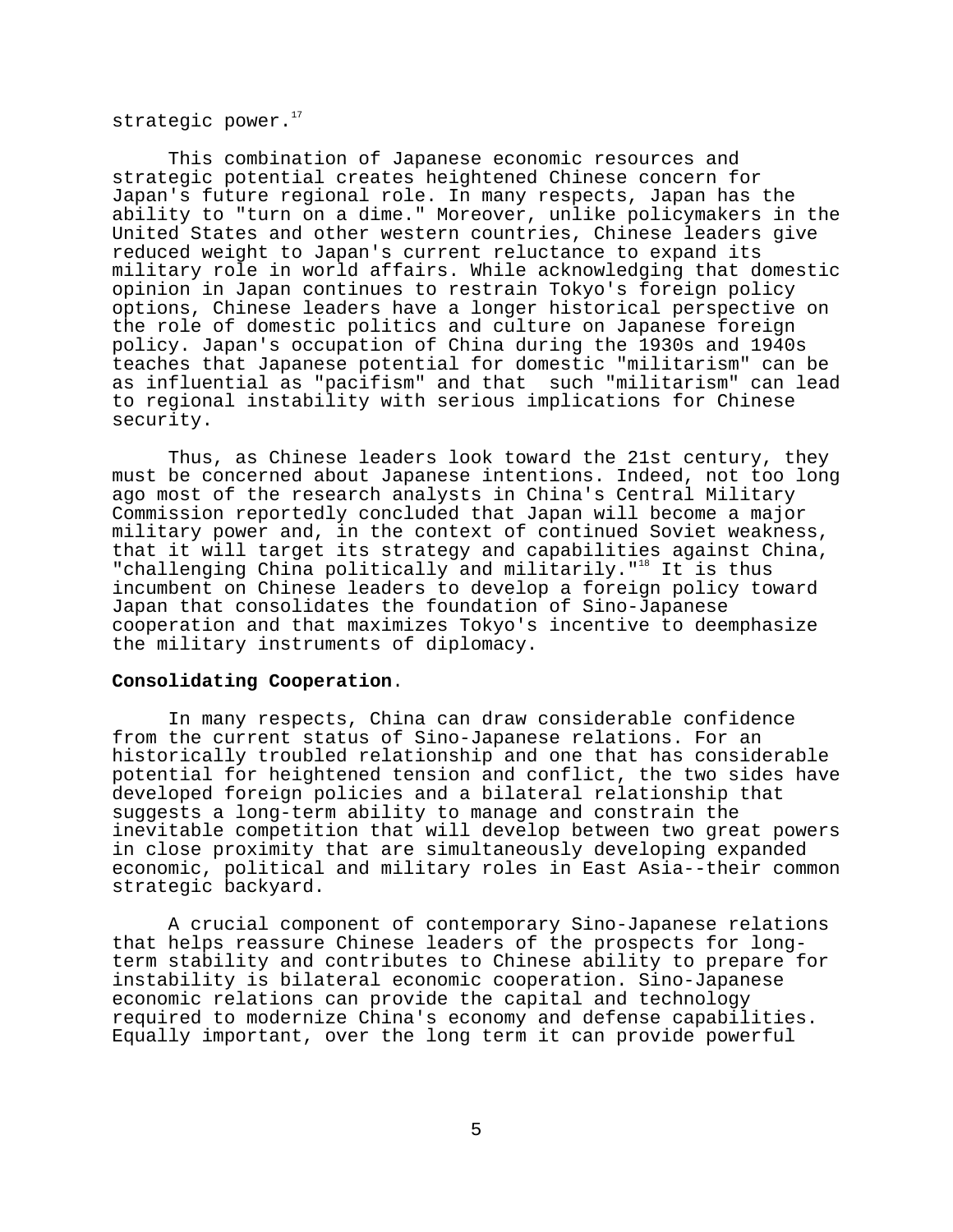strategic power. $17$ 

This combination of Japanese economic resources and strategic potential creates heightened Chinese concern for Japan's future regional role. In many respects, Japan has the ability to "turn on a dime." Moreover, unlike policymakers in the United States and other western countries, Chinese leaders give reduced weight to Japan's current reluctance to expand its military role in world affairs. While acknowledging that domestic opinion in Japan continues to restrain Tokyo's foreign policy options, Chinese leaders have a longer historical perspective on the role of domestic politics and culture on Japanese foreign policy. Japan's occupation of China during the 1930s and 1940s teaches that Japanese potential for domestic "militarism" can be as influential as "pacifism" and that such "militarism" can lead to regional instability with serious implications for Chinese security.

Thus, as Chinese leaders look toward the 21st century, they must be concerned about Japanese intentions. Indeed, not too long ago most of the research analysts in China's Central Military Commission reportedly concluded that Japan will become a major military power and, in the context of continued Soviet weakness, that it will target its strategy and capabilities against China, "challenging China politically and militarily."<sup>18</sup> It is thus incumbent on Chinese leaders to develop a foreign policy toward Japan that consolidates the foundation of Sino-Japanese cooperation and that maximizes Tokyo's incentive to deemphasize the military instruments of diplomacy.

### **Consolidating Cooperation**.

In many respects, China can draw considerable confidence from the current status of Sino-Japanese relations. For an historically troubled relationship and one that has considerable potential for heightened tension and conflict, the two sides have developed foreign policies and a bilateral relationship that suggests a long-term ability to manage and constrain the inevitable competition that will develop between two great powers in close proximity that are simultaneously developing expanded economic, political and military roles in East Asia--their common strategic backyard.

A crucial component of contemporary Sino-Japanese relations that helps reassure Chinese leaders of the prospects for longterm stability and contributes to Chinese ability to prepare for instability is bilateral economic cooperation. Sino-Japanese economic relations can provide the capital and technology required to modernize China's economy and defense capabilities. Equally important, over the long term it can provide powerful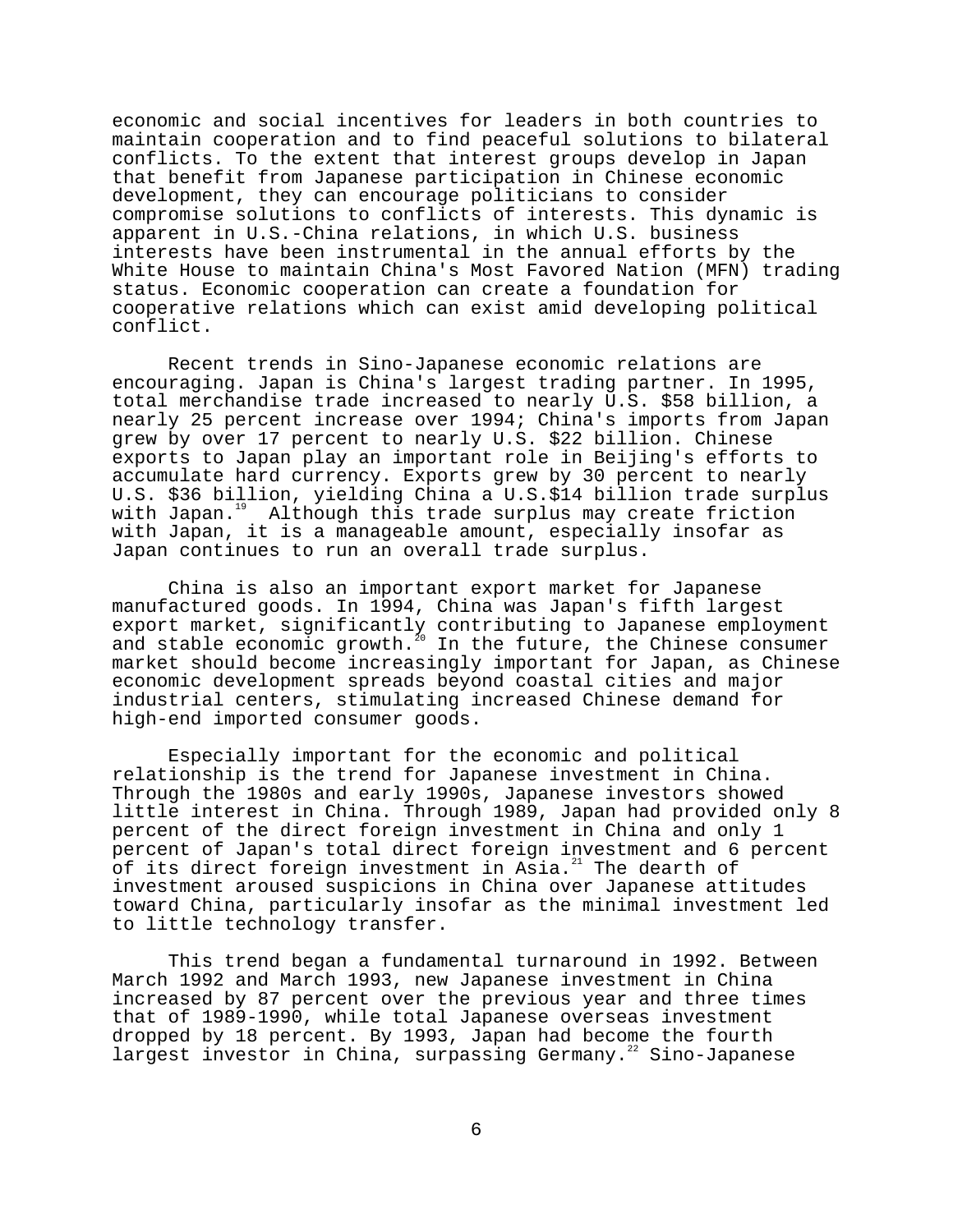economic and social incentives for leaders in both countries to maintain cooperation and to find peaceful solutions to bilateral conflicts. To the extent that interest groups develop in Japan that benefit from Japanese participation in Chinese economic development, they can encourage politicians to consider compromise solutions to conflicts of interests. This dynamic is apparent in U.S.-China relations, in which U.S. business interests have been instrumental in the annual efforts by the White House to maintain China's Most Favored Nation (MFN) trading status. Economic cooperation can create a foundation for cooperative relations which can exist amid developing political conflict.

Recent trends in Sino-Japanese economic relations are encouraging. Japan is China's largest trading partner. In 1995, total merchandise trade increased to nearly U.S. \$58 billion, a nearly 25 percent increase over 1994; China's imports from Japan grew by over 17 percent to nearly U.S. \$22 billion. Chinese exports to Japan play an important role in Beijing's efforts to accumulate hard currency. Exports grew by 30 percent to nearly U.S. \$36 billion, yielding China a U.S.\$14 billion trade surplus with Japan.<sup>19</sup> Although this trade surplus may create friction with Japan, it is a manageable amount, especially insofar as Japan continues to run an overall trade surplus.

China is also an important export market for Japanese manufactured goods. In 1994, China was Japan's fifth largest export market, significantly contributing to Japanese employment and stable economic growth. $^{z_0}$  In the future, the Chinese consumer market should become increasingly important for Japan, as Chinese economic development spreads beyond coastal cities and major industrial centers, stimulating increased Chinese demand for high-end imported consumer goods.

Especially important for the economic and political relationship is the trend for Japanese investment in China. Through the 1980s and early 1990s, Japanese investors showed little interest in China. Through 1989, Japan had provided only 8 percent of the direct foreign investment in China and only 1 percent of Japan's total direct foreign investment and 6 percent of its direct foreign investment in Asia. $^{21}$  The dearth of investment aroused suspicions in China over Japanese attitudes toward China, particularly insofar as the minimal investment led to little technology transfer.

This trend began a fundamental turnaround in 1992. Between March 1992 and March 1993, new Japanese investment in China increased by 87 percent over the previous year and three times that of 1989-1990, while total Japanese overseas investment dropped by 18 percent. By 1993, Japan had become the fourth largest investor in China, surpassing Germany.<sup>22</sup> Sino-Japanese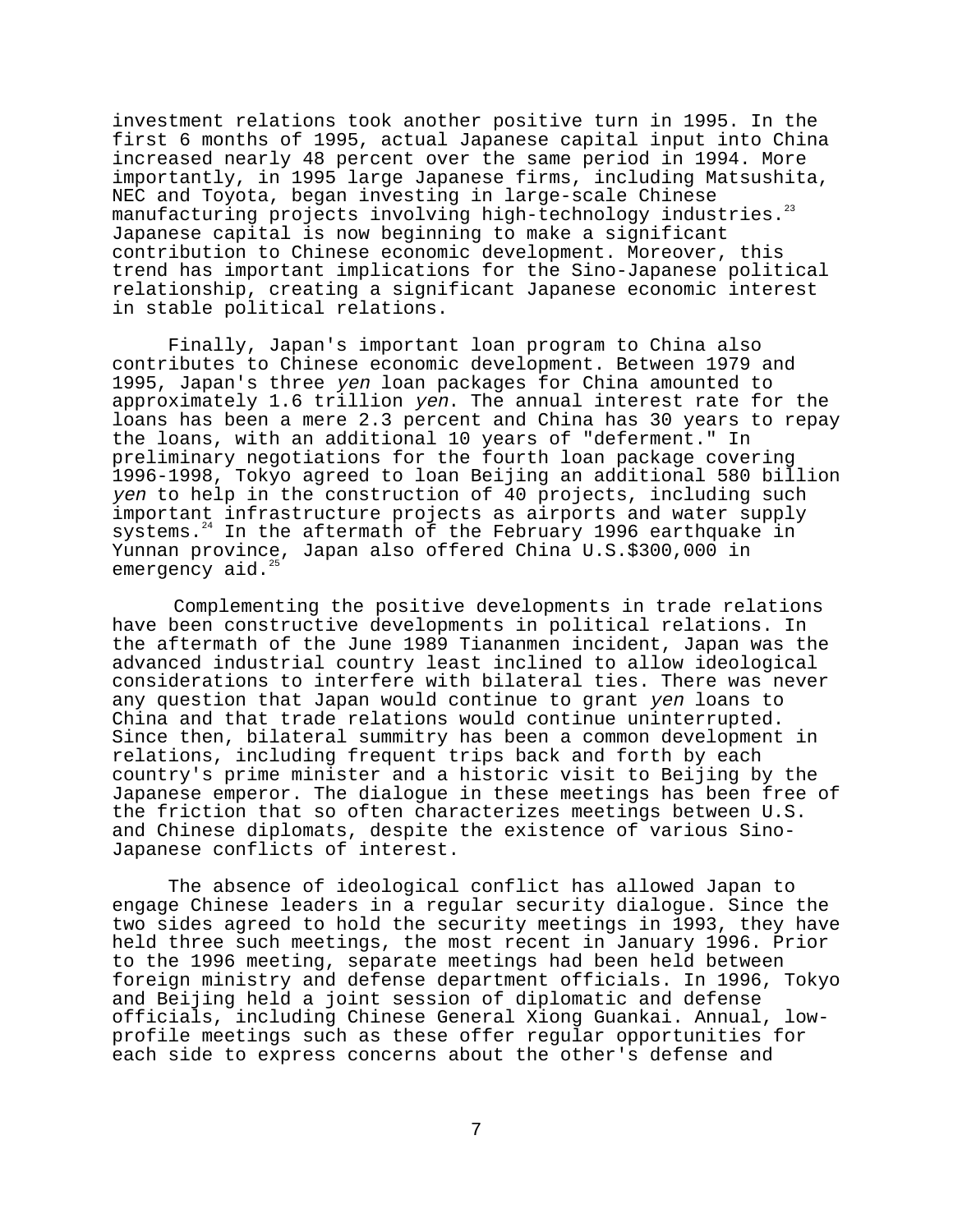investment relations took another positive turn in 1995. In the first 6 months of 1995, actual Japanese capital input into China increased nearly 48 percent over the same period in 1994. More importantly, in 1995 large Japanese firms, including Matsushita, NEC and Toyota, began investing in large-scale Chinese manufacturing projects involving high-technology industries.<sup>23</sup> Japanese capital is now beginning to make a significant contribution to Chinese economic development. Moreover, this trend has important implications for the Sino-Japanese political relationship, creating a significant Japanese economic interest in stable political relations.

Finally, Japan's important loan program to China also contributes to Chinese economic development. Between 1979 and 1995, Japan's three yen loan packages for China amounted to approximately 1.6 trillion yen. The annual interest rate for the loans has been a mere 2.3 percent and China has 30 years to repay the loans, with an additional 10 years of "deferment." In preliminary negotiations for the fourth loan package covering 1996-1998, Tokyo agreed to loan Beijing an additional 580 billion yen to help in the construction of 40 projects, including such important infrastructure projects as airports and water supply systems.<sup>24</sup> In the aftermath of the February 1996 earthquake in Yunnan province, Japan also offered China U.S.\$300,000 in emergency aid.<sup>2</sup>

Complementing the positive developments in trade relations have been constructive developments in political relations. In the aftermath of the June 1989 Tiananmen incident, Japan was the advanced industrial country least inclined to allow ideological considerations to interfere with bilateral ties. There was never any question that Japan would continue to grant yen loans to China and that trade relations would continue uninterrupted. Since then, bilateral summitry has been a common development in relations, including frequent trips back and forth by each country's prime minister and a historic visit to Beijing by the Japanese emperor. The dialogue in these meetings has been free of the friction that so often characterizes meetings between U.S. and Chinese diplomats, despite the existence of various Sino-Japanese conflicts of interest.

The absence of ideological conflict has allowed Japan to engage Chinese leaders in a regular security dialogue. Since the two sides agreed to hold the security meetings in 1993, they have held three such meetings, the most recent in January 1996. Prior to the 1996 meeting, separate meetings had been held between foreign ministry and defense department officials. In 1996, Tokyo and Beijing held a joint session of diplomatic and defense officials, including Chinese General Xiong Guankai. Annual, lowprofile meetings such as these offer regular opportunities for each side to express concerns about the other's defense and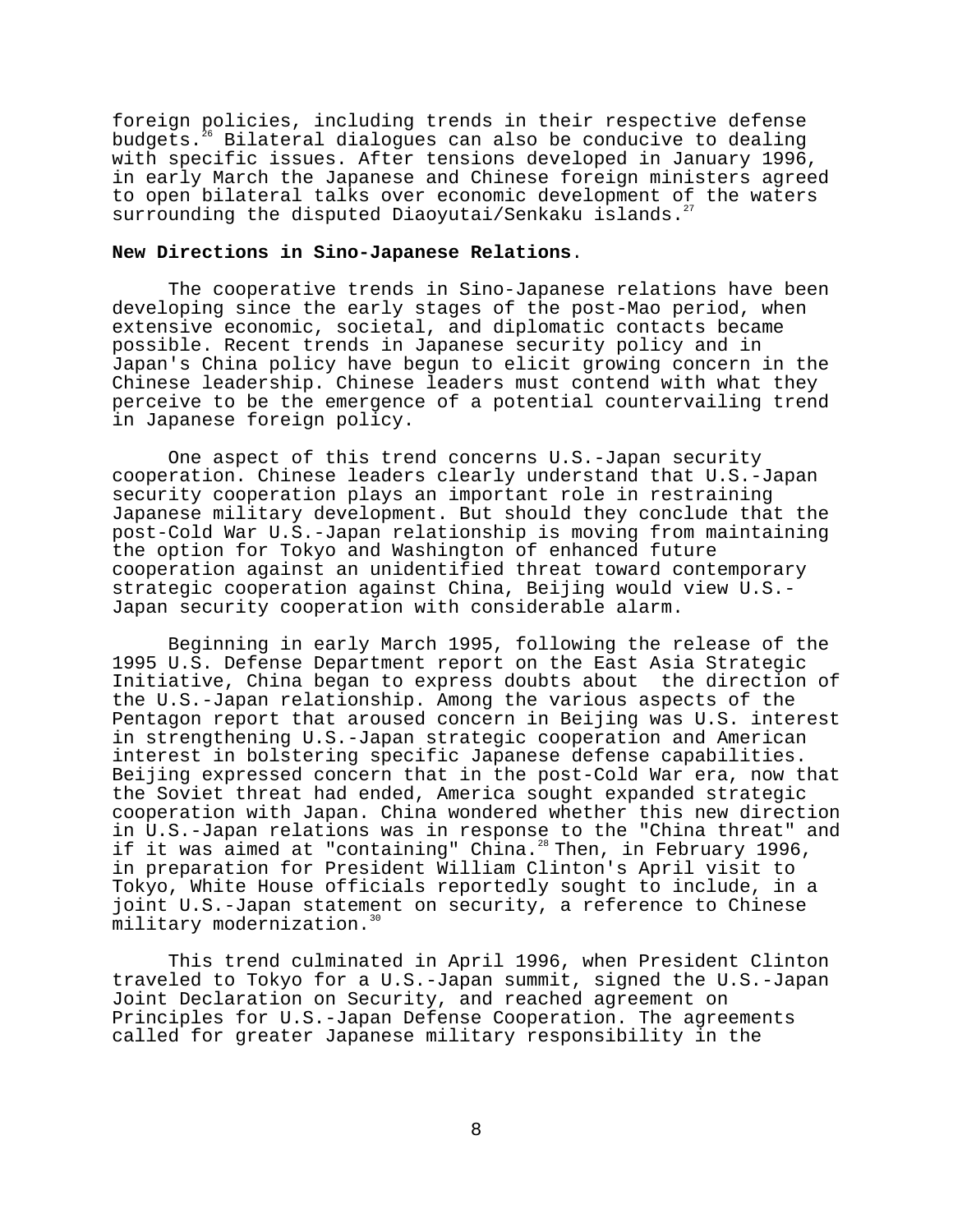foreign policies, including trends in their respective defense budgets. $26$  Bilateral dialogues can also be conducive to dealing with specific issues. After tensions developed in January 1996, in early March the Japanese and Chinese foreign ministers agreed to open bilateral talks over economic development of the waters surrounding the disputed Diaoyutai/Senkaku islands.<sup>2</sup>

## **New Directions in Sino-Japanese Relations**.

The cooperative trends in Sino-Japanese relations have been developing since the early stages of the post-Mao period, when extensive economic, societal, and diplomatic contacts became possible. Recent trends in Japanese security policy and in Japan's China policy have begun to elicit growing concern in the Chinese leadership. Chinese leaders must contend with what they perceive to be the emergence of a potential countervailing trend in Japanese foreign policy.

One aspect of this trend concerns U.S.-Japan security cooperation. Chinese leaders clearly understand that U.S.-Japan security cooperation plays an important role in restraining Japanese military development. But should they conclude that the post-Cold War U.S.-Japan relationship is moving from maintaining the option for Tokyo and Washington of enhanced future cooperation against an unidentified threat toward contemporary strategic cooperation against China, Beijing would view U.S.- Japan security cooperation with considerable alarm.

Beginning in early March 1995, following the release of the 1995 U.S. Defense Department report on the East Asia Strategic Initiative, China began to express doubts about the direction of the U.S.-Japan relationship. Among the various aspects of the Pentagon report that aroused concern in Beijing was U.S. interest in strengthening U.S.-Japan strategic cooperation and American interest in bolstering specific Japanese defense capabilities. Beijing expressed concern that in the post-Cold War era, now that the Soviet threat had ended, America sought expanded strategic cooperation with Japan. China wondered whether this new direction in U.S.-Japan relations was in response to the "China threat" and if it was aimed at "containing" China.28 Then, in February 1996, in preparation for President William Clinton's April visit to Tokyo, White House officials reportedly sought to include, in a joint U.S.-Japan statement on security, a reference to Chinese military modernization.<sup>30</sup>

This trend culminated in April 1996, when President Clinton traveled to Tokyo for a U.S.-Japan summit, signed the U.S.-Japan Joint Declaration on Security, and reached agreement on Principles for U.S.-Japan Defense Cooperation. The agreements called for greater Japanese military responsibility in the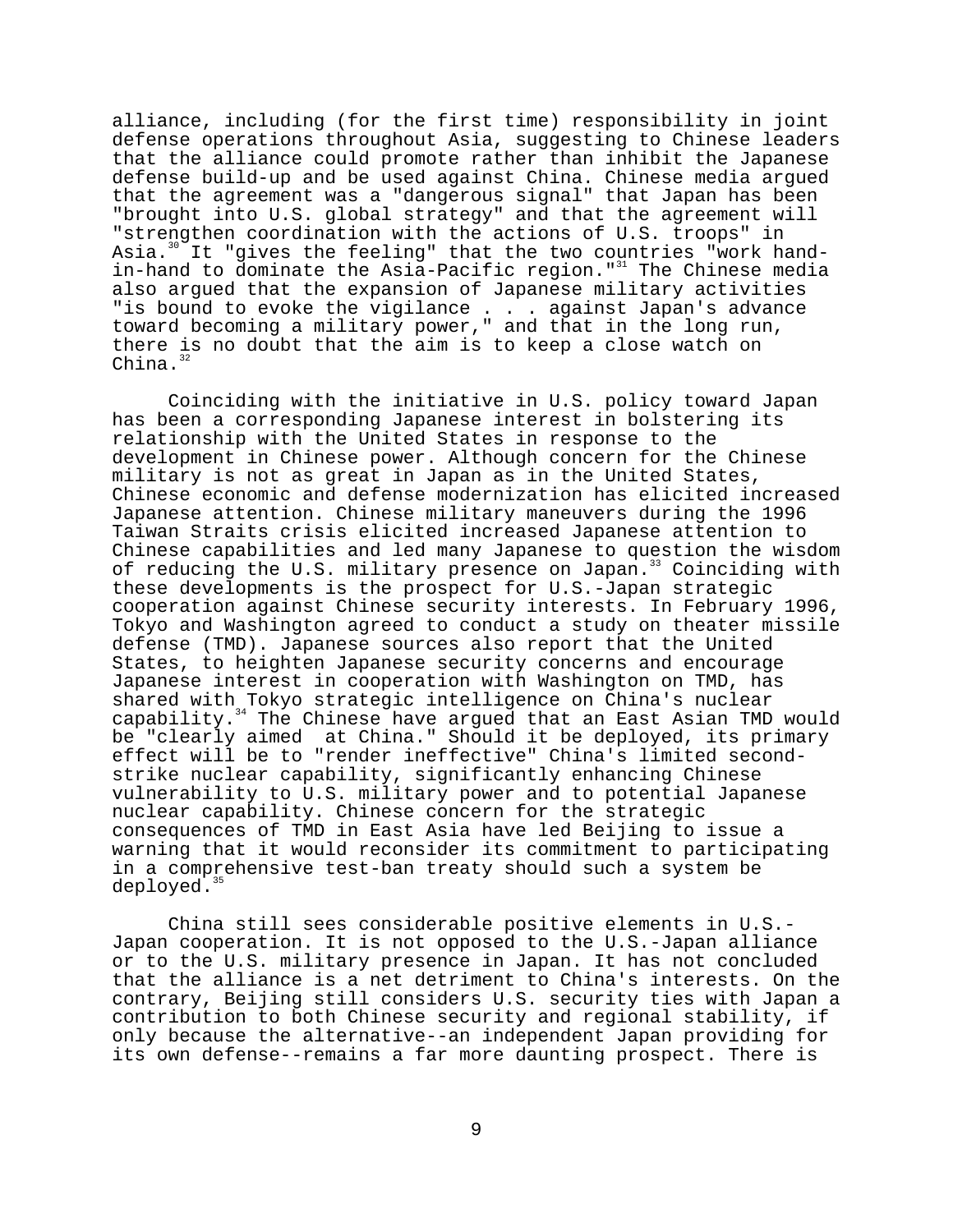alliance, including (for the first time) responsibility in joint defense operations throughout Asia, suggesting to Chinese leaders that the alliance could promote rather than inhibit the Japanese defense build-up and be used against China. Chinese media argued that the agreement was a "dangerous signal" that Japan has been "brought into U.S. global strategy" and that the agreement will "strengthen coordination with the actions of U.S. troops" in Asia.<sup>30</sup> It "gives the feeling" that the two countries "work handin-hand to dominate the Asia-Pacific region."<sup>31</sup> The Chinese media also argued that the expansion of Japanese military activities "is bound to evoke the vigilance . . . against Japan's advance toward becoming a military power," and that in the long run, there is no doubt that the aim is to keep a close watch on China.

Coinciding with the initiative in U.S. policy toward Japan has been a corresponding Japanese interest in bolstering its relationship with the United States in response to the development in Chinese power. Although concern for the Chinese military is not as great in Japan as in the United States, Chinese economic and defense modernization has elicited increased Japanese attention. Chinese military maneuvers during the 1996 Taiwan Straits crisis elicited increased Japanese attention to Chinese capabilities and led many Japanese to question the wisdom of reducing the U.S. military presence on Japan.<sup>33</sup> Coinciding with these developments is the prospect for U.S.-Japan strategic cooperation against Chinese security interests. In February 1996, Tokyo and Washington agreed to conduct a study on theater missile defense (TMD). Japanese sources also report that the United States, to heighten Japanese security concerns and encourage Japanese interest in cooperation with Washington on TMD, has shared with Tokyo strategic intelligence on China's nuclear capability.<sup>34</sup> The Chinese have argued that an East Asian TMD would be "clearly aimed at China." Should it be deployed, its primary effect will be to "render ineffective" China's limited secondstrike nuclear capability, significantly enhancing Chinese vulnerability to U.S. military power and to potential Japanese nuclear capability. Chinese concern for the strategic consequences of TMD in East Asia have led Beijing to issue a warning that it would reconsider its commitment to participating in a comprehensive test-ban treaty should such a system be deployed.<sup>35</sup>

China still sees considerable positive elements in U.S.- Japan cooperation. It is not opposed to the U.S.-Japan alliance or to the U.S. military presence in Japan. It has not concluded that the alliance is a net detriment to China's interests. On the contrary, Beijing still considers U.S. security ties with Japan a contribution to both Chinese security and regional stability, if only because the alternative--an independent Japan providing for its own defense--remains a far more daunting prospect. There is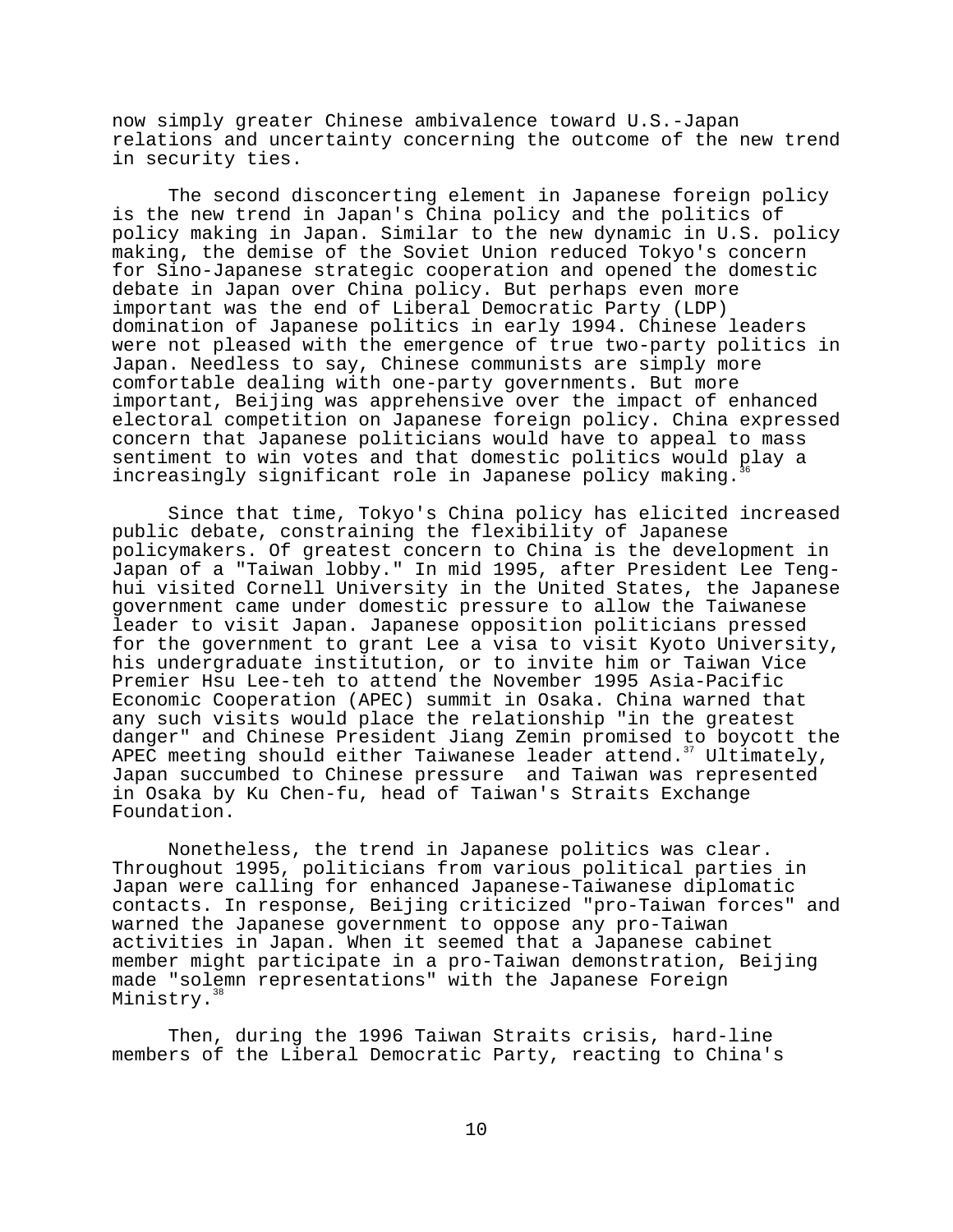now simply greater Chinese ambivalence toward U.S.-Japan relations and uncertainty concerning the outcome of the new trend in security ties.

The second disconcerting element in Japanese foreign policy is the new trend in Japan's China policy and the politics of policy making in Japan. Similar to the new dynamic in U.S. policy making, the demise of the Soviet Union reduced Tokyo's concern for Sino-Japanese strategic cooperation and opened the domestic debate in Japan over China policy. But perhaps even more important was the end of Liberal Democratic Party (LDP) domination of Japanese politics in early 1994. Chinese leaders were not pleased with the emergence of true two-party politics in Japan. Needless to say, Chinese communists are simply more comfortable dealing with one-party governments. But more important, Beijing was apprehensive over the impact of enhanced electoral competition on Japanese foreign policy. China expressed concern that Japanese politicians would have to appeal to mass sentiment to win votes and that domestic politics would play a increasingly significant role in Japanese policy making.36

Since that time, Tokyo's China policy has elicited increased public debate, constraining the flexibility of Japanese policymakers. Of greatest concern to China is the development in Japan of a "Taiwan lobby." In mid 1995, after President Lee Tenghui visited Cornell University in the United States, the Japanese government came under domestic pressure to allow the Taiwanese leader to visit Japan. Japanese opposition politicians pressed for the government to grant Lee a visa to visit Kyoto University, his undergraduate institution, or to invite him or Taiwan Vice Premier Hsu Lee-teh to attend the November 1995 Asia-Pacific Economic Cooperation (APEC) summit in Osaka. China warned that any such visits would place the relationship "in the greatest danger" and Chinese President Jiang Zemin promised to boycott the APEC meeting should either Taiwanese leader attend.<sup>37</sup> Ultimately, Japan succumbed to Chinese pressure and Taiwan was represented in Osaka by Ku Chen-fu, head of Taiwan's Straits Exchange Foundation.

Nonetheless, the trend in Japanese politics was clear. Throughout 1995, politicians from various political parties in Japan were calling for enhanced Japanese-Taiwanese diplomatic contacts. In response, Beijing criticized "pro-Taiwan forces" and warned the Japanese government to oppose any pro-Taiwan activities in Japan. When it seemed that a Japanese cabinet member might participate in a pro-Taiwan demonstration, Beijing made "solemn representations" with the Japanese Foreign Ministry.<sup>3</sup>

Then, during the 1996 Taiwan Straits crisis, hard-line members of the Liberal Democratic Party, reacting to China's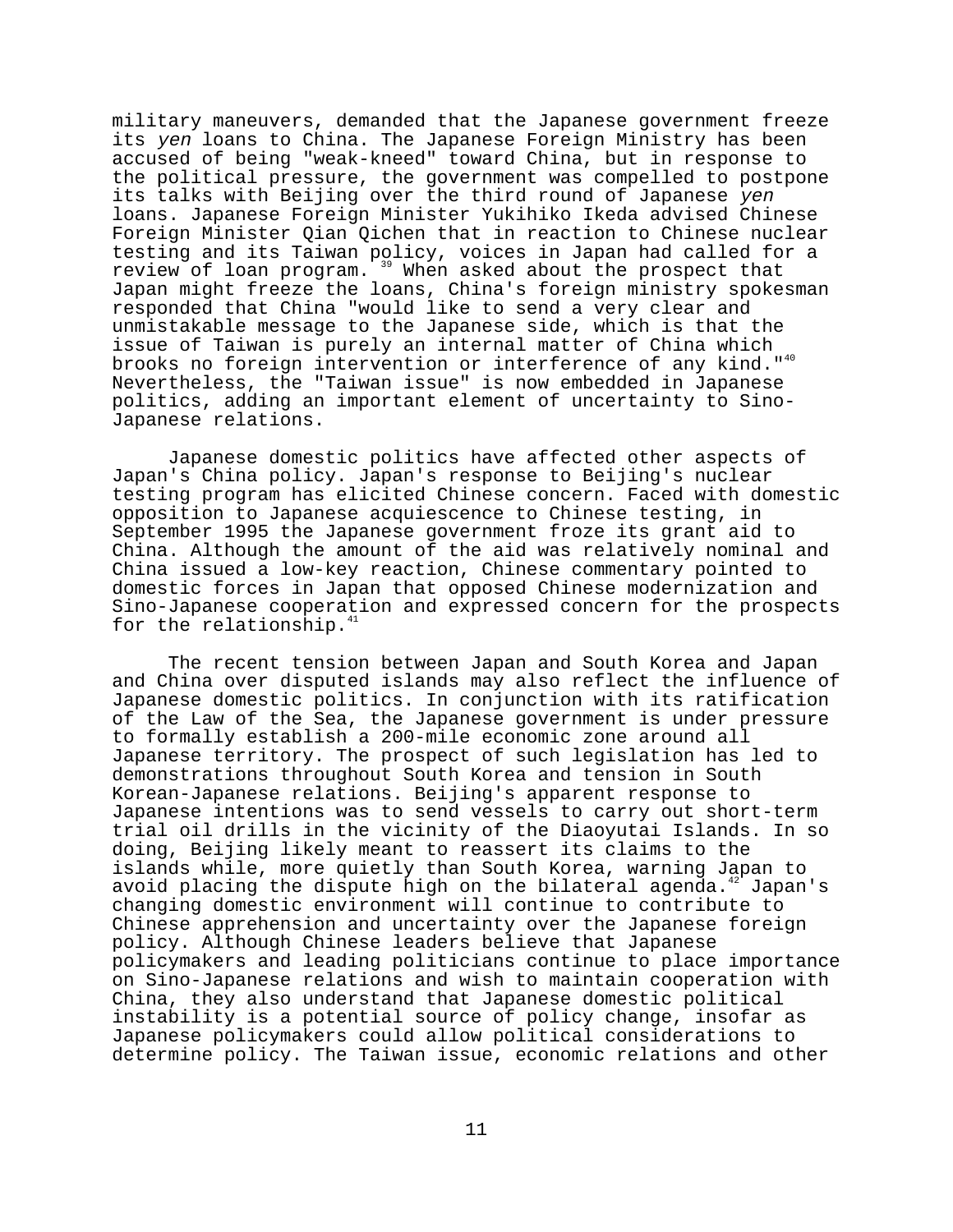military maneuvers, demanded that the Japanese government freeze its yen loans to China. The Japanese Foreign Ministry has been accused of being "weak-kneed" toward China, but in response to the political pressure, the government was compelled to postpone its talks with Beijing over the third round of Japanese yen loans. Japanese Foreign Minister Yukihiko Ikeda advised Chinese Foreign Minister Qian Qichen that in reaction to Chinese nuclear testing and its Taiwan policy, voices in Japan had called for a review of loan program.<sup>39</sup> When asked about the prospect that Japan might freeze the loans, China's foreign ministry spokesman responded that China "would like to send a very clear and unmistakable message to the Japanese side, which is that the issue of Taiwan is purely an internal matter of China which brooks no foreign intervention or interference of any kind."<sup>40</sup> Nevertheless, the "Taiwan issue" is now embedded in Japanese politics, adding an important element of uncertainty to Sino-Japanese relations.

Japanese domestic politics have affected other aspects of Japan's China policy. Japan's response to Beijing's nuclear testing program has elicited Chinese concern. Faced with domestic opposition to Japanese acquiescence to Chinese testing, in September 1995 the Japanese government froze its grant aid to China. Although the amount of the aid was relatively nominal and China issued a low-key reaction, Chinese commentary pointed to domestic forces in Japan that opposed Chinese modernization and Sino-Japanese cooperation and expressed concern for the prospects for the relationship.<sup>4</sup>

The recent tension between Japan and South Korea and Japan and China over disputed islands may also reflect the influence of Japanese domestic politics. In conjunction with its ratification of the Law of the Sea, the Japanese government is under pressure to formally establish a 200-mile economic zone around all Japanese territory. The prospect of such legislation has led to demonstrations throughout South Korea and tension in South Korean-Japanese relations. Beijing's apparent response to Japanese intentions was to send vessels to carry out short-term trial oil drills in the vicinity of the Diaoyutai Islands. In so doing, Beijing likely meant to reassert its claims to the islands while, more quietly than South Korea, warning Japan to avoid placing the dispute high on the bilateral agenda.<sup>42</sup> Japan's changing domestic environment will continue to contribute to Chinese apprehension and uncertainty over the Japanese foreign policy. Although Chinese leaders believe that Japanese policymakers and leading politicians continue to place importance on Sino-Japanese relations and wish to maintain cooperation with China, they also understand that Japanese domestic political instability is a potential source of policy change, insofar as Japanese policymakers could allow political considerations to determine policy. The Taiwan issue, economic relations and other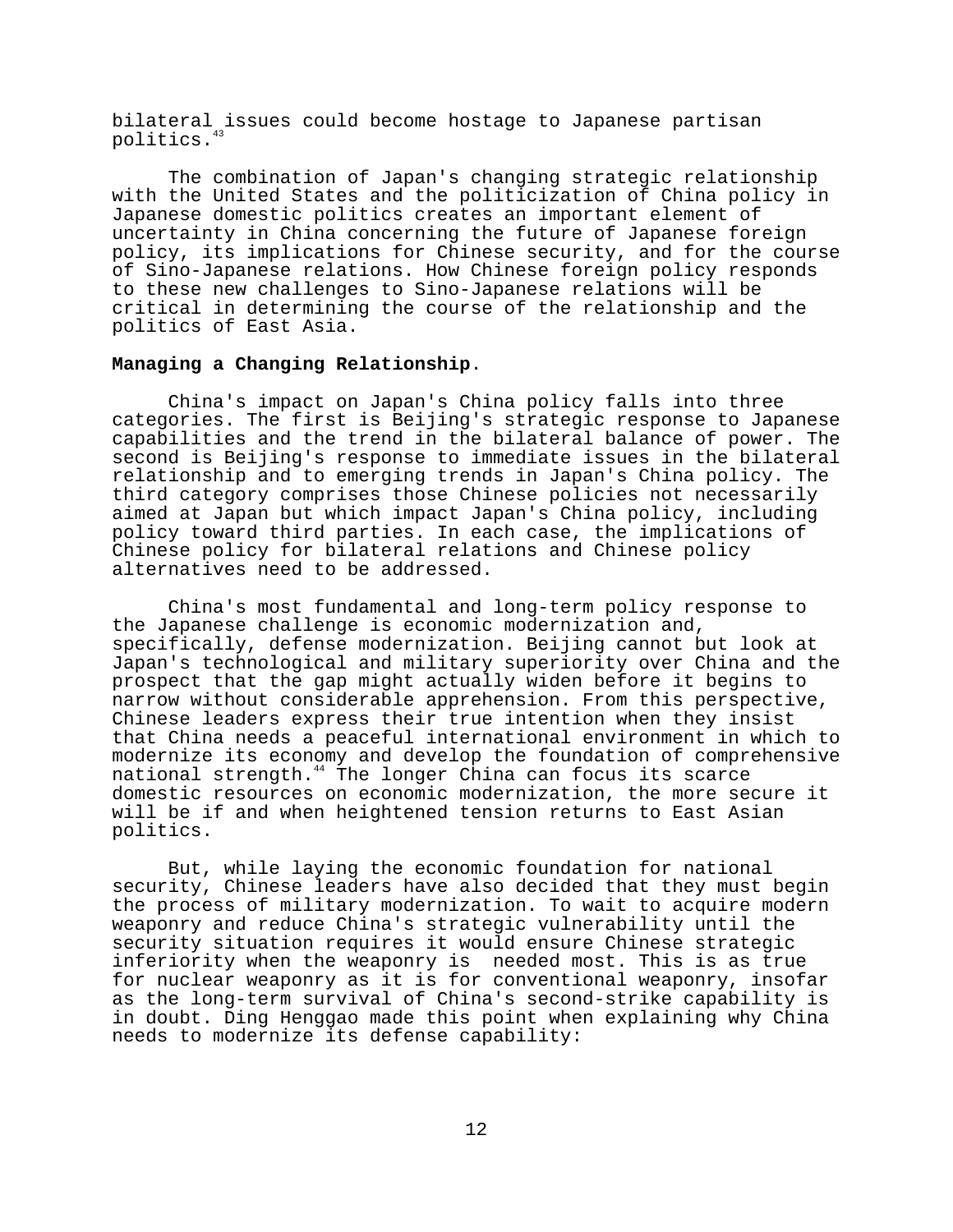bilateral issues could become hostage to Japanese partisan politics.<sup>43</sup>

The combination of Japan's changing strategic relationship with the United States and the politicization of China policy in Japanese domestic politics creates an important element of uncertainty in China concerning the future of Japanese foreign policy, its implications for Chinese security, and for the course of Sino-Japanese relations. How Chinese foreign policy responds to these new challenges to Sino-Japanese relations will be critical in determining the course of the relationship and the politics of East Asia.

#### **Managing a Changing Relationship**.

China's impact on Japan's China policy falls into three categories. The first is Beijing's strategic response to Japanese capabilities and the trend in the bilateral balance of power. The second is Beijing's response to immediate issues in the bilateral relationship and to emerging trends in Japan's China policy. The third category comprises those Chinese policies not necessarily aimed at Japan but which impact Japan's China policy, including policy toward third parties. In each case, the implications of Chinese policy for bilateral relations and Chinese policy alternatives need to be addressed.

China's most fundamental and long-term policy response to the Japanese challenge is economic modernization and, specifically, defense modernization. Beijing cannot but look at Japan's technological and military superiority over China and the prospect that the gap might actually widen before it begins to narrow without considerable apprehension. From this perspective, Chinese leaders express their true intention when they insist that China needs a peaceful international environment in which to modernize its economy and develop the foundation of comprehensive national strength.<sup>44</sup> The longer China can focus its scarce domestic resources on economic modernization, the more secure it will be if and when heightened tension returns to East Asian politics.

But, while laying the economic foundation for national security, Chinese leaders have also decided that they must begin the process of military modernization. To wait to acquire modern weaponry and reduce China's strategic vulnerability until the security situation requires it would ensure Chinese strategic inferiority when the weaponry is needed most. This is as true for nuclear weaponry as it is for conventional weaponry, insofar as the long-term survival of China's second-strike capability is in doubt. Ding Henggao made this point when explaining why China needs to modernize its defense capability: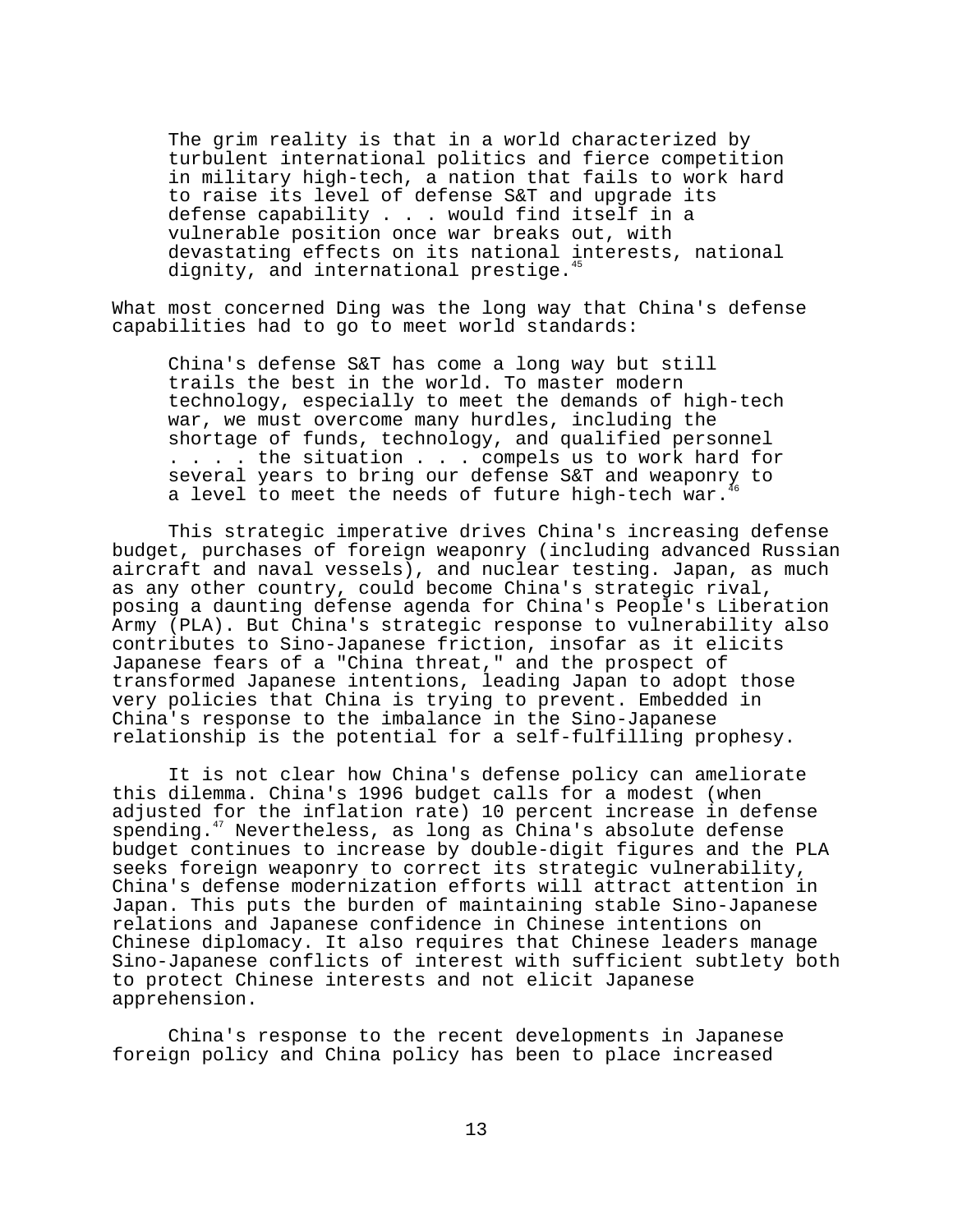The grim reality is that in a world characterized by turbulent international politics and fierce competition in military high-tech, a nation that fails to work hard to raise its level of defense S&T and upgrade its defense capability . . . would find itself in a vulnerable position once war breaks out, with devastating effects on its national interests, national dignity, and international prestige. $45$ 

What most concerned Ding was the long way that China's defense capabilities had to go to meet world standards:

China's defense S&T has come a long way but still trails the best in the world. To master modern technology, especially to meet the demands of high-tech war, we must overcome many hurdles, including the shortage of funds, technology, and qualified personnel . . . . the situation . . . compels us to work hard for several years to bring our defense S&T and weaponry to a level to meet the needs of future high-tech war.

This strategic imperative drives China's increasing defense budget, purchases of foreign weaponry (including advanced Russian aircraft and naval vessels), and nuclear testing. Japan, as much as any other country, could become China's strategic rival, posing a daunting defense agenda for China's People's Liberation Army (PLA). But China's strategic response to vulnerability also contributes to Sino-Japanese friction, insofar as it elicits Japanese fears of a "China threat," and the prospect of transformed Japanese intentions, leading Japan to adopt those very policies that China is trying to prevent. Embedded in China's response to the imbalance in the Sino-Japanese relationship is the potential for a self-fulfilling prophesy.

It is not clear how China's defense policy can ameliorate this dilemma. China's 1996 budget calls for a modest (when adjusted for the inflation rate) 10 percent increase in defense spending.<sup>47</sup> Nevertheless, as long as China's absolute defense budget continues to increase by double-digit figures and the PLA seeks foreign weaponry to correct its strategic vulnerability, China's defense modernization efforts will attract attention in Japan. This puts the burden of maintaining stable Sino-Japanese relations and Japanese confidence in Chinese intentions on Chinese diplomacy. It also requires that Chinese leaders manage Sino-Japanese conflicts of interest with sufficient subtlety both to protect Chinese interests and not elicit Japanese apprehension.

China's response to the recent developments in Japanese foreign policy and China policy has been to place increased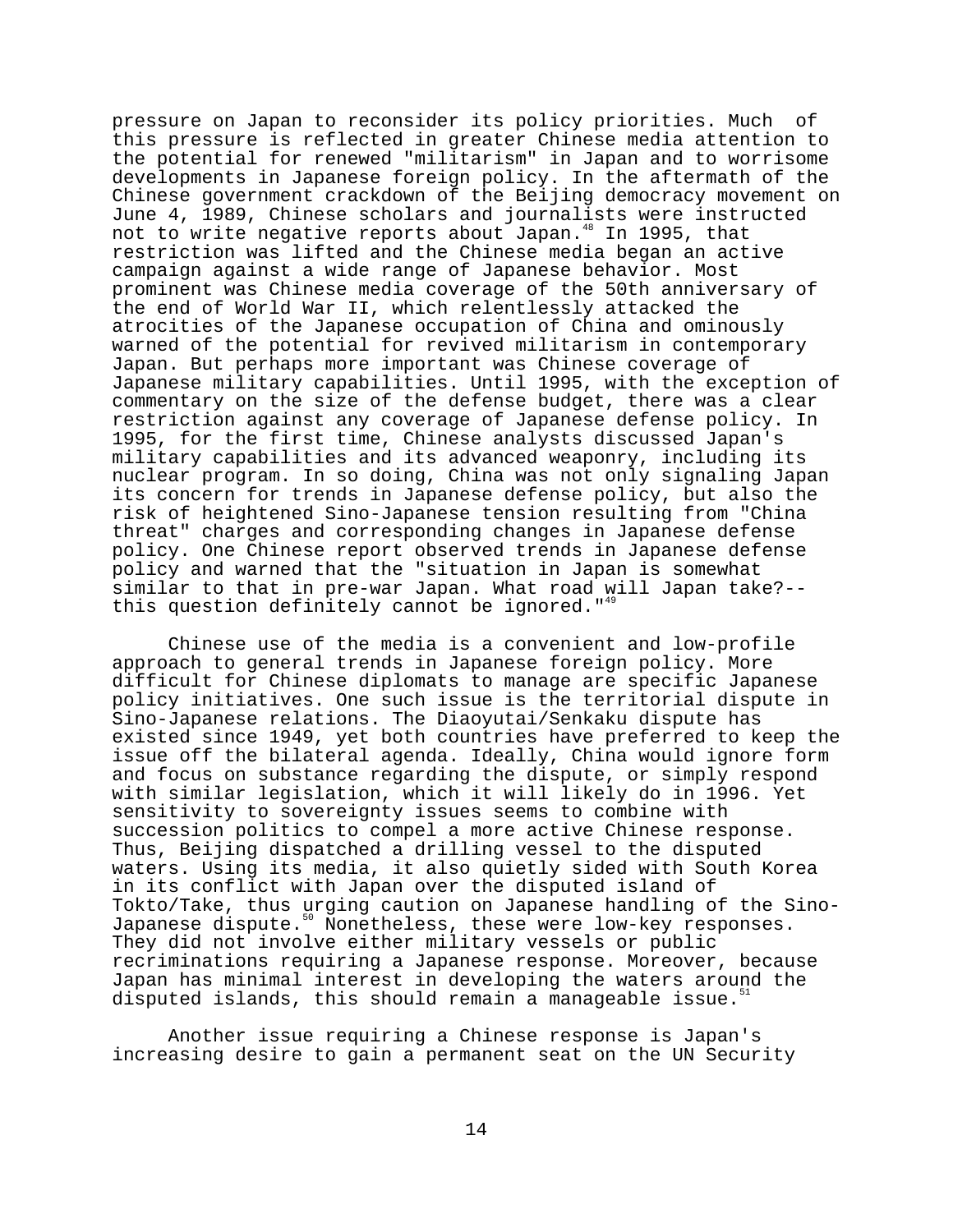pressure on Japan to reconsider its policy priorities. Much of this pressure is reflected in greater Chinese media attention to the potential for renewed "militarism" in Japan and to worrisome developments in Japanese foreign policy. In the aftermath of the Chinese government crackdown of the Beijing democracy movement on June 4, 1989, Chinese scholars and journalists were instructed not to write negative reports about Japan.<sup>48</sup> In 1995, that restriction was lifted and the Chinese media began an active campaign against a wide range of Japanese behavior. Most prominent was Chinese media coverage of the 50th anniversary of the end of World War II, which relentlessly attacked the atrocities of the Japanese occupation of China and ominously warned of the potential for revived militarism in contemporary Japan. But perhaps more important was Chinese coverage of Japanese military capabilities. Until 1995, with the exception of commentary on the size of the defense budget, there was a clear restriction against any coverage of Japanese defense policy. In 1995, for the first time, Chinese analysts discussed Japan's military capabilities and its advanced weaponry, including its nuclear program. In so doing, China was not only signaling Japan its concern for trends in Japanese defense policy, but also the risk of heightened Sino-Japanese tension resulting from "China threat" charges and corresponding changes in Japanese defense policy. One Chinese report observed trends in Japanese defense policy and warned that the "situation in Japan is somewhat similar to that in pre-war Japan. What road will Japan take?- this question definitely cannot be ignored.  $149$ 

Chinese use of the media is a convenient and low-profile approach to general trends in Japanese foreign policy. More difficult for Chinese diplomats to manage are specific Japanese policy initiatives. One such issue is the territorial dispute in Sino-Japanese relations. The Diaoyutai/Senkaku dispute has existed since 1949, yet both countries have preferred to keep the issue off the bilateral agenda. Ideally, China would ignore form and focus on substance regarding the dispute, or simply respond with similar legislation, which it will likely do in 1996. Yet sensitivity to sovereignty issues seems to combine with succession politics to compel a more active Chinese response. Thus, Beijing dispatched a drilling vessel to the disputed waters. Using its media, it also quietly sided with South Korea in its conflict with Japan over the disputed island of Tokto/Take, thus urging caution on Japanese handling of the Sino-Japanese dispute.<sup>50</sup> Nonetheless, these were low-key responses. They did not involve either military vessels or public recriminations requiring a Japanese response. Moreover, because Japan has minimal interest in developing the waters around the disputed islands, this should remain a manageable issue.<sup>51</sup>

Another issue requiring a Chinese response is Japan's increasing desire to gain a permanent seat on the UN Security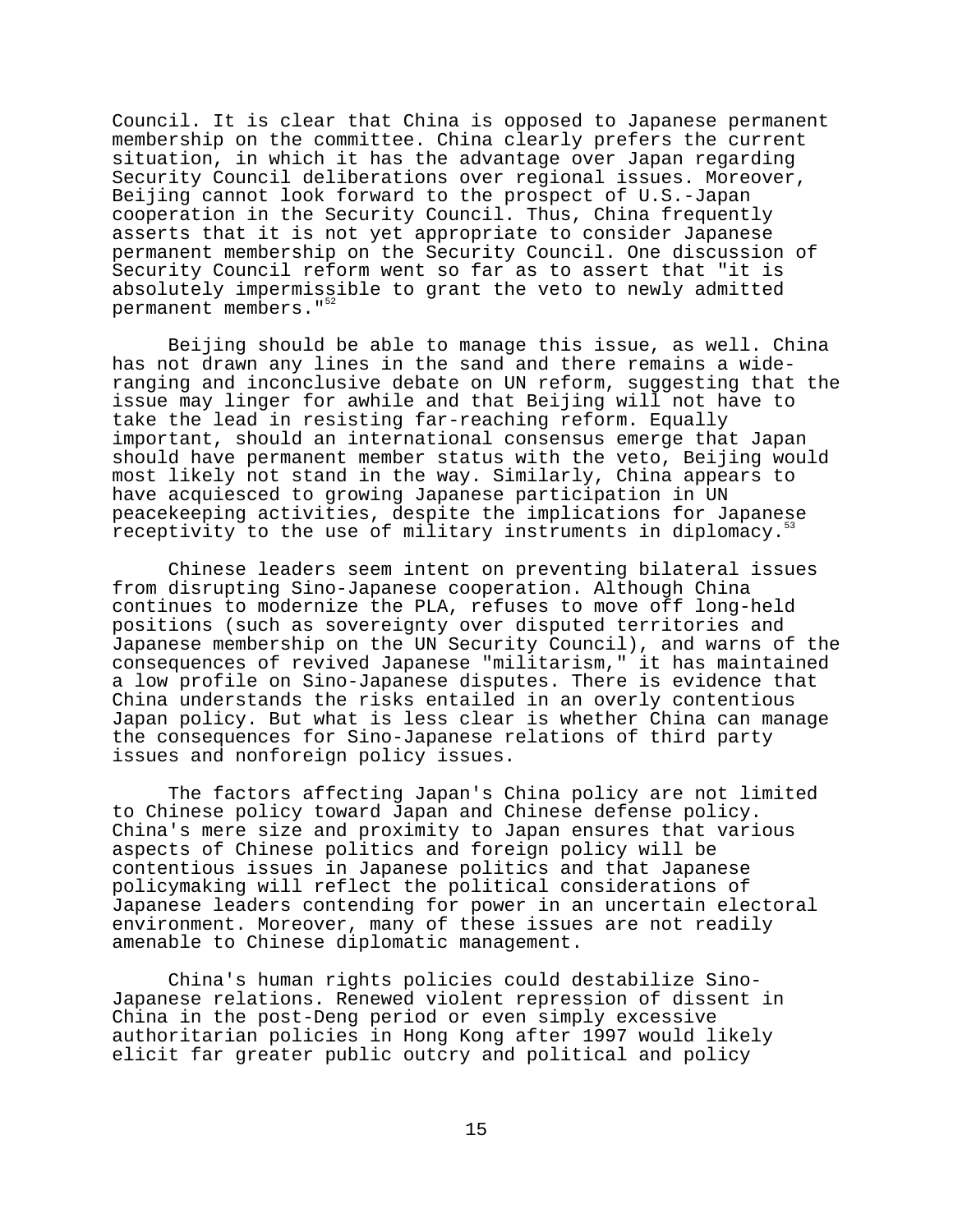Council. It is clear that China is opposed to Japanese permanent membership on the committee. China clearly prefers the current situation, in which it has the advantage over Japan regarding Security Council deliberations over regional issues. Moreover, Beijing cannot look forward to the prospect of U.S.-Japan cooperation in the Security Council. Thus, China frequently asserts that it is not yet appropriate to consider Japanese permanent membership on the Security Council. One discussion of Security Council reform went so far as to assert that "it is absolutely impermissible to grant the veto to newly admitted permanent members."<sup>5</sup>

Beijing should be able to manage this issue, as well. China has not drawn any lines in the sand and there remains a wideranging and inconclusive debate on UN reform, suggesting that the issue may linger for awhile and that Beijing will not have to take the lead in resisting far-reaching reform. Equally important, should an international consensus emerge that Japan should have permanent member status with the veto, Beijing would most likely not stand in the way. Similarly, China appears to have acquiesced to growing Japanese participation in UN peacekeeping activities, despite the implications for Japanese receptivity to the use of military instruments in diplomacy.<sup>53</sup>

Chinese leaders seem intent on preventing bilateral issues from disrupting Sino-Japanese cooperation. Although China continues to modernize the PLA, refuses to move off long-held positions (such as sovereignty over disputed territories and Japanese membership on the UN Security Council), and warns of the consequences of revived Japanese "militarism," it has maintained a low profile on Sino-Japanese disputes. There is evidence that China understands the risks entailed in an overly contentious Japan policy. But what is less clear is whether China can manage the consequences for Sino-Japanese relations of third party issues and nonforeign policy issues.

The factors affecting Japan's China policy are not limited to Chinese policy toward Japan and Chinese defense policy. China's mere size and proximity to Japan ensures that various aspects of Chinese politics and foreign policy will be contentious issues in Japanese politics and that Japanese policymaking will reflect the political considerations of Japanese leaders contending for power in an uncertain electoral environment. Moreover, many of these issues are not readily amenable to Chinese diplomatic management.

China's human rights policies could destabilize Sino-Japanese relations. Renewed violent repression of dissent in China in the post-Deng period or even simply excessive authoritarian policies in Hong Kong after 1997 would likely elicit far greater public outcry and political and policy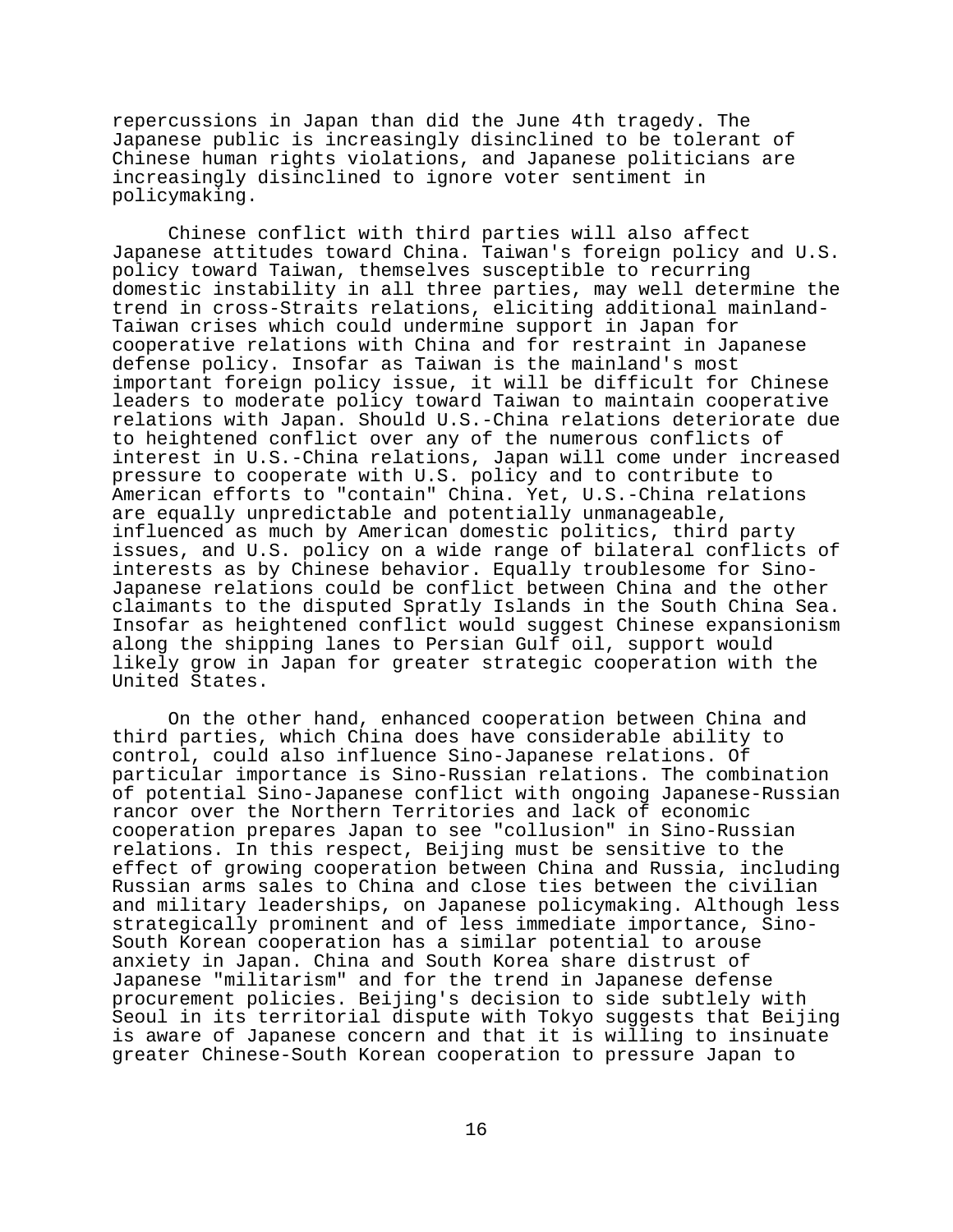repercussions in Japan than did the June 4th tragedy. The Japanese public is increasingly disinclined to be tolerant of Chinese human rights violations, and Japanese politicians are increasingly disinclined to ignore voter sentiment in policymaking.

Chinese conflict with third parties will also affect Japanese attitudes toward China. Taiwan's foreign policy and U.S. policy toward Taiwan, themselves susceptible to recurring domestic instability in all three parties, may well determine the trend in cross-Straits relations, eliciting additional mainland-Taiwan crises which could undermine support in Japan for cooperative relations with China and for restraint in Japanese defense policy. Insofar as Taiwan is the mainland's most important foreign policy issue, it will be difficult for Chinese leaders to moderate policy toward Taiwan to maintain cooperative relations with Japan. Should U.S.-China relations deteriorate due to heightened conflict over any of the numerous conflicts of interest in U.S.-China relations, Japan will come under increased pressure to cooperate with U.S. policy and to contribute to American efforts to "contain" China. Yet, U.S.-China relations are equally unpredictable and potentially unmanageable, influenced as much by American domestic politics, third party issues, and U.S. policy on a wide range of bilateral conflicts of interests as by Chinese behavior. Equally troublesome for Sino-Japanese relations could be conflict between China and the other claimants to the disputed Spratly Islands in the South China Sea. Insofar as heightened conflict would suggest Chinese expansionism along the shipping lanes to Persian Gulf oil, support would likely grow in Japan for greater strategic cooperation with the United States.

On the other hand, enhanced cooperation between China and third parties, which China does have considerable ability to control, could also influence Sino-Japanese relations. Of particular importance is Sino-Russian relations. The combination of potential Sino-Japanese conflict with ongoing Japanese-Russian rancor over the Northern Territories and lack of economic cooperation prepares Japan to see "collusion" in Sino-Russian relations. In this respect, Beijing must be sensitive to the effect of growing cooperation between China and Russia, including Russian arms sales to China and close ties between the civilian and military leaderships, on Japanese policymaking. Although less strategically prominent and of less immediate importance, Sino-South Korean cooperation has a similar potential to arouse anxiety in Japan. China and South Korea share distrust of Japanese "militarism" and for the trend in Japanese defense procurement policies. Beijing's decision to side subtlely with Seoul in its territorial dispute with Tokyo suggests that Beijing is aware of Japanese concern and that it is willing to insinuate greater Chinese-South Korean cooperation to pressure Japan to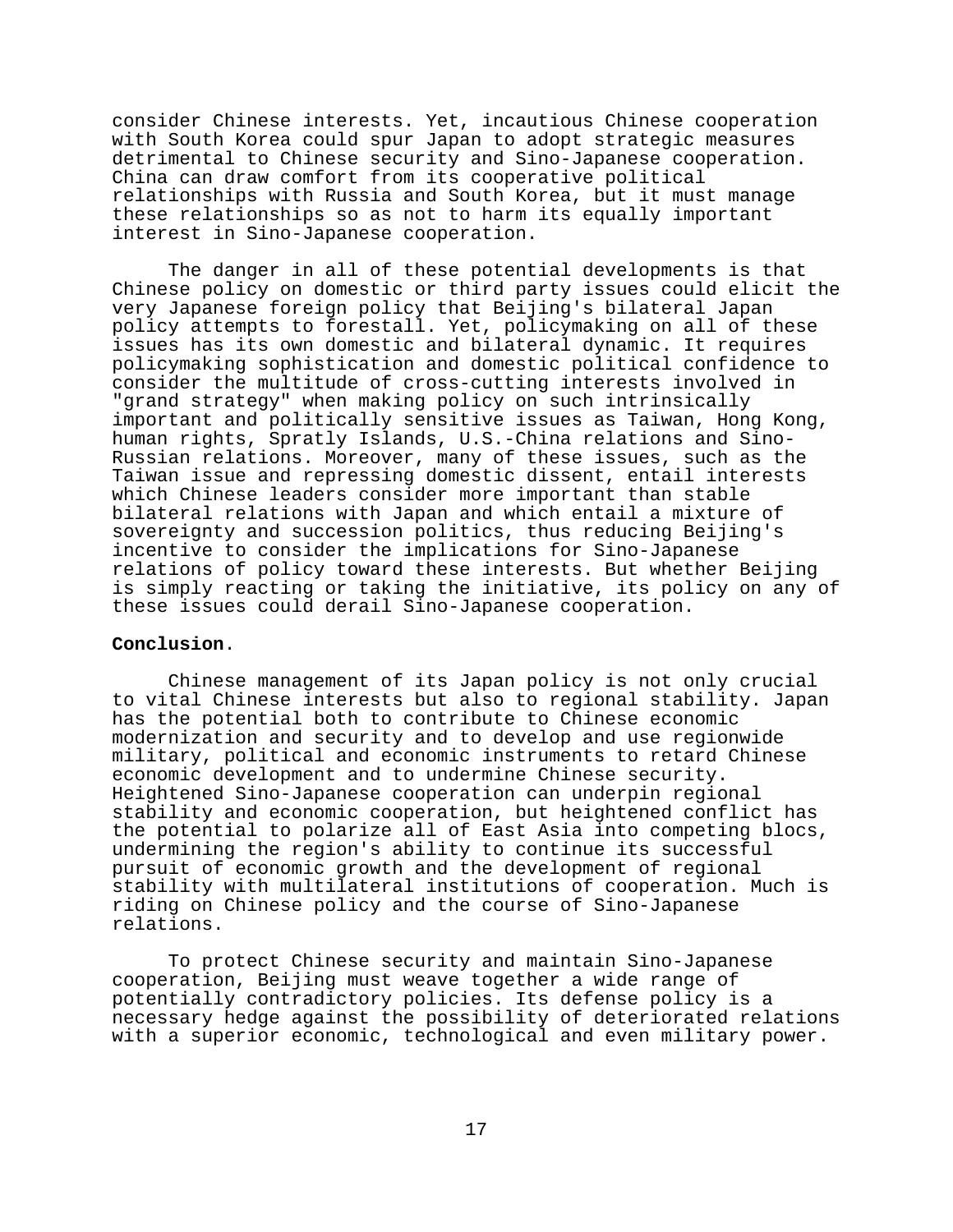consider Chinese interests. Yet, incautious Chinese cooperation with South Korea could spur Japan to adopt strategic measures detrimental to Chinese security and Sino-Japanese cooperation. China can draw comfort from its cooperative political relationships with Russia and South Korea, but it must manage these relationships so as not to harm its equally important interest in Sino-Japanese cooperation.

The danger in all of these potential developments is that Chinese policy on domestic or third party issues could elicit the very Japanese foreign policy that Beijing's bilateral Japan policy attempts to forestall. Yet, policymaking on all of these issues has its own domestic and bilateral dynamic. It requires policymaking sophistication and domestic political confidence to consider the multitude of cross-cutting interests involved in "grand strategy" when making policy on such intrinsically important and politically sensitive issues as Taiwan, Hong Kong, human rights, Spratly Islands, U.S.-China relations and Sino-Russian relations. Moreover, many of these issues, such as the Taiwan issue and repressing domestic dissent, entail interests which Chinese leaders consider more important than stable bilateral relations with Japan and which entail a mixture of sovereignty and succession politics, thus reducing Beijing's incentive to consider the implications for Sino-Japanese relations of policy toward these interests. But whether Beijing is simply reacting or taking the initiative, its policy on any of these issues could derail Sino-Japanese cooperation.

### **Conclusion**.

Chinese management of its Japan policy is not only crucial to vital Chinese interests but also to regional stability. Japan has the potential both to contribute to Chinese economic modernization and security and to develop and use regionwide military, political and economic instruments to retard Chinese economic development and to undermine Chinese security. Heightened Sino-Japanese cooperation can underpin regional stability and economic cooperation, but heightened conflict has the potential to polarize all of East Asia into competing blocs, undermining the region's ability to continue its successful pursuit of economic growth and the development of regional stability with multilateral institutions of cooperation. Much is riding on Chinese policy and the course of Sino-Japanese relations.

To protect Chinese security and maintain Sino-Japanese cooperation, Beijing must weave together a wide range of potentially contradictory policies. Its defense policy is a necessary hedge against the possibility of deteriorated relations with a superior economic, technological and even military power.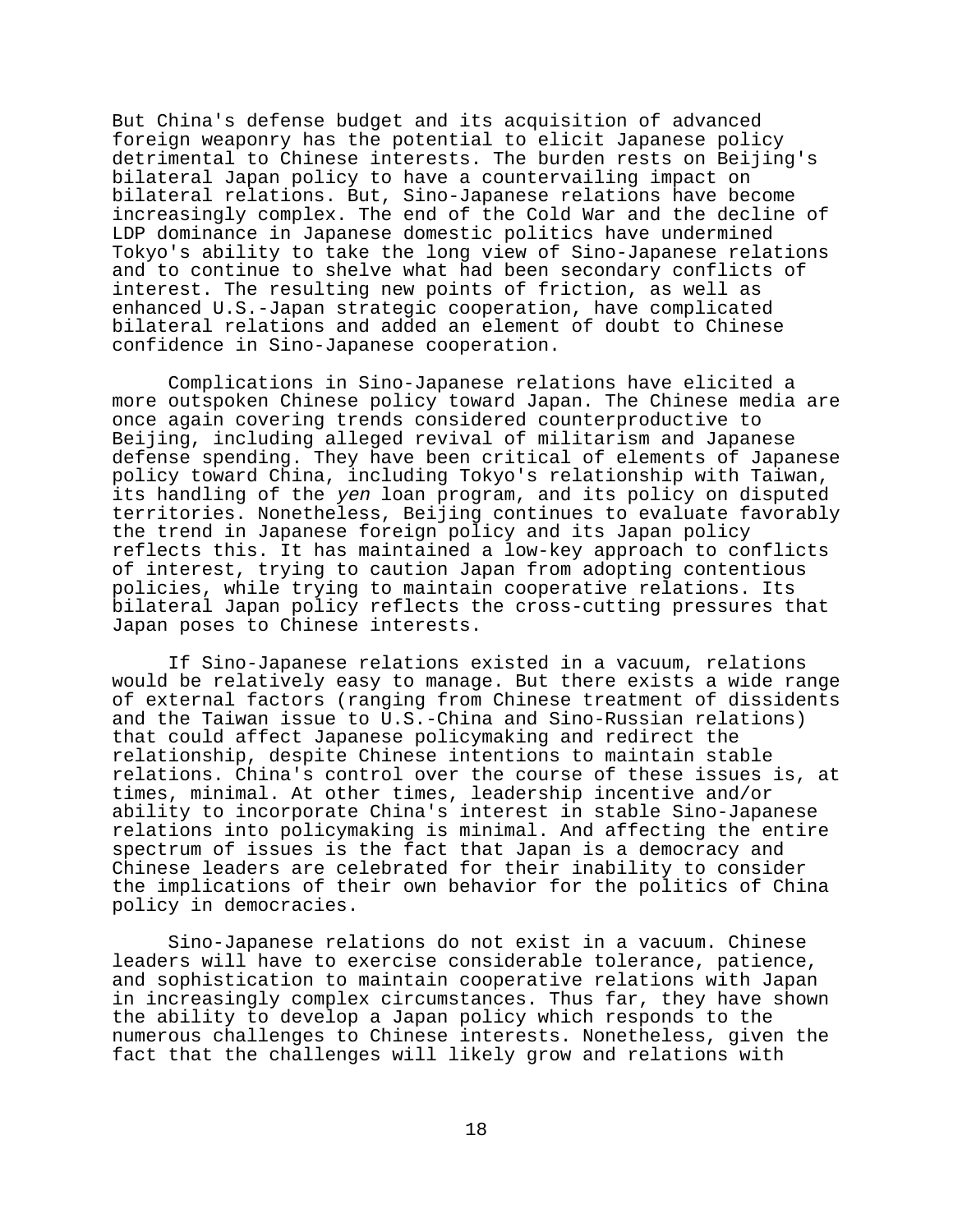But China's defense budget and its acquisition of advanced foreign weaponry has the potential to elicit Japanese policy detrimental to Chinese interests. The burden rests on Beijing's bilateral Japan policy to have a countervailing impact on bilateral relations. But, Sino-Japanese relations have become increasingly complex. The end of the Cold War and the decline of LDP dominance in Japanese domestic politics have undermined Tokyo's ability to take the long view of Sino-Japanese relations and to continue to shelve what had been secondary conflicts of interest. The resulting new points of friction, as well as enhanced U.S.-Japan strategic cooperation, have complicated bilateral relations and added an element of doubt to Chinese confidence in Sino-Japanese cooperation.

Complications in Sino-Japanese relations have elicited a more outspoken Chinese policy toward Japan. The Chinese media are once again covering trends considered counterproductive to Beijing, including alleged revival of militarism and Japanese defense spending. They have been critical of elements of Japanese policy toward China, including Tokyo's relationship with Taiwan, its handling of the yen loan program, and its policy on disputed territories. Nonetheless, Beijing continues to evaluate favorably the trend in Japanese foreign policy and its Japan policy reflects this. It has maintained a low-key approach to conflicts of interest, trying to caution Japan from adopting contentious policies, while trying to maintain cooperative relations. Its bilateral Japan policy reflects the cross-cutting pressures that Japan poses to Chinese interests.

If Sino-Japanese relations existed in a vacuum, relations would be relatively easy to manage. But there exists a wide range of external factors (ranging from Chinese treatment of dissidents and the Taiwan issue to U.S.-China and Sino-Russian relations) that could affect Japanese policymaking and redirect the relationship, despite Chinese intentions to maintain stable relations. China's control over the course of these issues is, at times, minimal. At other times, leadership incentive and/or ability to incorporate China's interest in stable Sino-Japanese relations into policymaking is minimal. And affecting the entire spectrum of issues is the fact that Japan is a democracy and Chinese leaders are celebrated for their inability to consider the implications of their own behavior for the politics of China policy in democracies.

Sino-Japanese relations do not exist in a vacuum. Chinese leaders will have to exercise considerable tolerance, patience, and sophistication to maintain cooperative relations with Japan in increasingly complex circumstances. Thus far, they have shown the ability to develop a Japan policy which responds to the numerous challenges to Chinese interests. Nonetheless, given the fact that the challenges will likely grow and relations with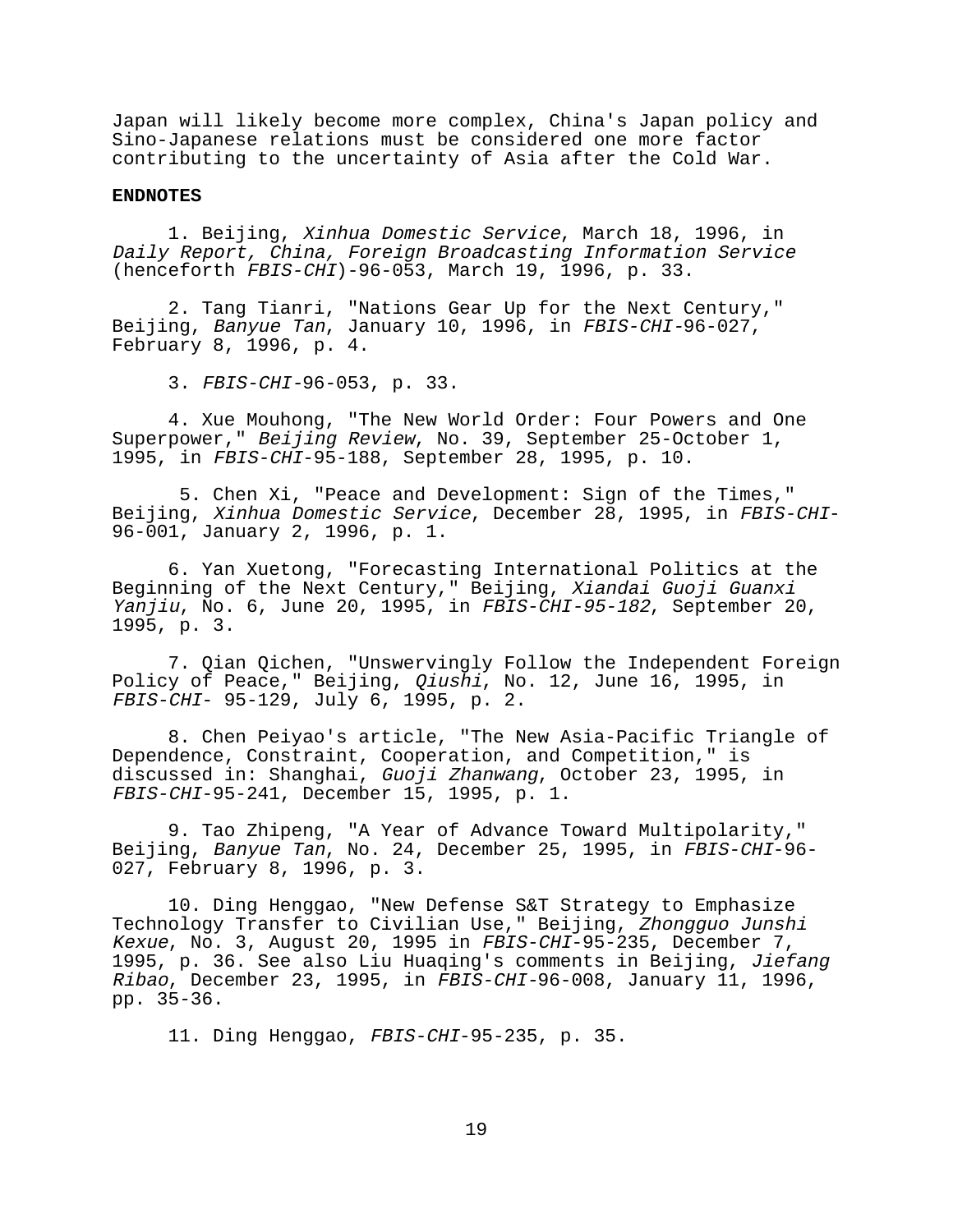Japan will likely become more complex, China's Japan policy and Sino-Japanese relations must be considered one more factor contributing to the uncertainty of Asia after the Cold War.

#### **ENDNOTES**

1. Beijing, Xinhua Domestic Service, March 18, 1996, in Daily Report, China, Foreign Broadcasting Information Service (henceforth FBIS-CHI)-96-053, March 19, 1996, p. 33.

2. Tang Tianri, "Nations Gear Up for the Next Century," Beijing, Banyue Tan, January 10, 1996, in FBIS-CHI-96-027, February 8, 1996, p. 4.

3. FBIS-CHI-96-053, p. 33.

4. Xue Mouhong, "The New World Order: Four Powers and One Superpower," Beijing Review, No. 39, September 25-October 1, 1995, in FBIS-CHI-95-188, September 28, 1995, p. 10.

 5. Chen Xi, "Peace and Development: Sign of the Times," Beijing, Xinhua Domestic Service, December 28, 1995, in FBIS-CHI-96-001, January 2, 1996, p. 1.

6. Yan Xuetong, "Forecasting International Politics at the Beginning of the Next Century," Beijing, Xiandai Guoji Guanxi Yanjiu, No. 6, June 20, 1995, in FBIS-CHI-95-182, September 20, 1995, p. 3.

7. Qian Qichen, "Unswervingly Follow the Independent Foreign Policy of Peace," Beijing, *Qiushi*, No. 12, June 16, 1995, in FBIS-CHI- 95-129, July 6, 1995, p. 2.

8. Chen Peiyao's article, "The New Asia-Pacific Triangle of Dependence, Constraint, Cooperation, and Competition," is discussed in: Shanghai, Guoji Zhanwang, October 23, 1995, in FBIS-CHI-95-241, December 15, 1995, p. 1.

9. Tao Zhipeng, "A Year of Advance Toward Multipolarity," Beijing, Banyue Tan, No. 24, December 25, 1995, in FBIS-CHI-96- 027, February 8, 1996, p. 3.

10. Ding Henggao, "New Defense S&T Strategy to Emphasize Technology Transfer to Civilian Use," Beijing, Zhongguo Junshi Kexue, No. 3, August 20, 1995 in FBIS-CHI-95-235, December 7, 1995, p. 36. See also Liu Huaqing's comments in Beijing, Jiefang Ribao, December 23, 1995, in FBIS-CHI-96-008, January 11, 1996, pp. 35-36.

11. Ding Henggao, FBIS-CHI-95-235, p. 35.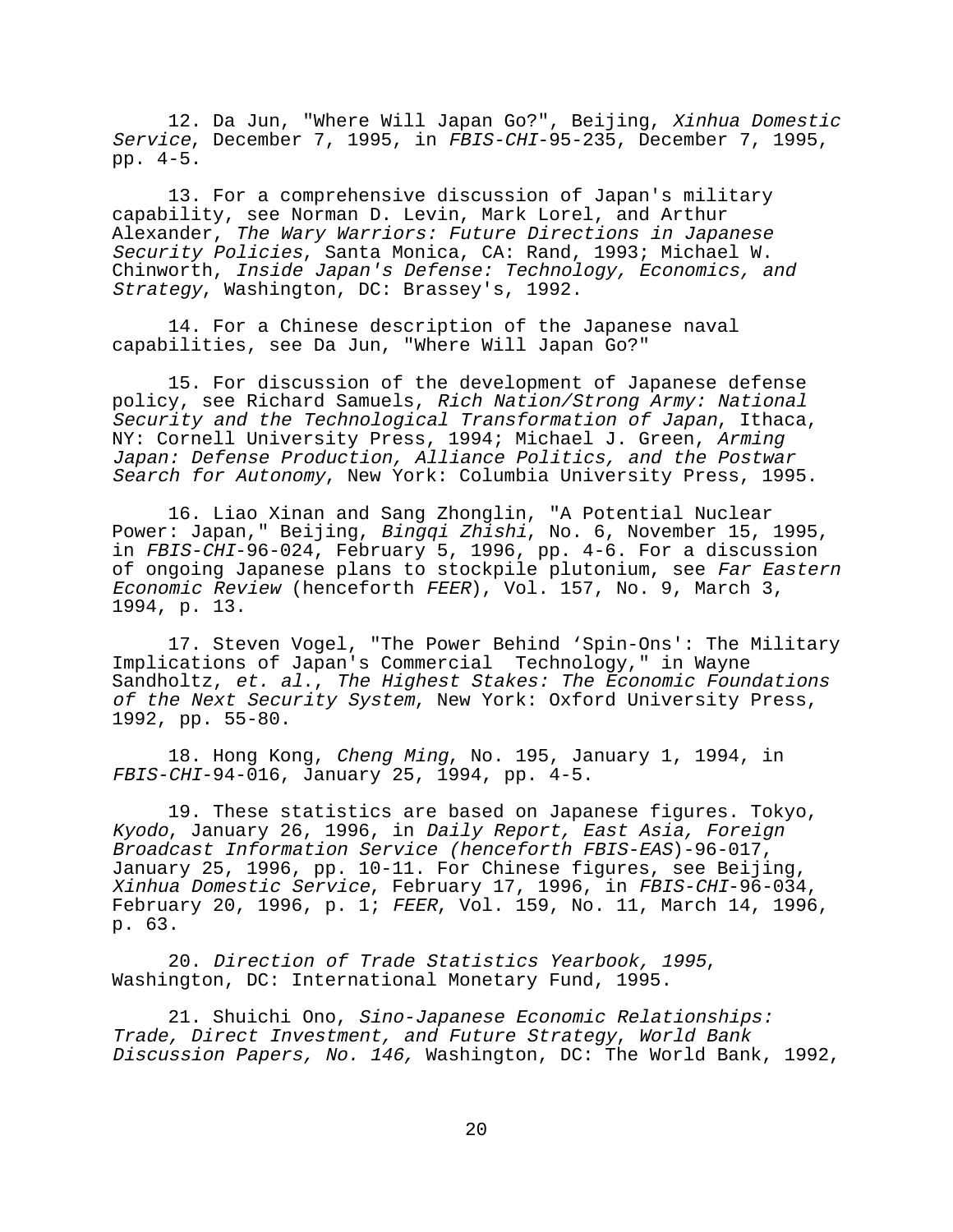12. Da Jun, "Where Will Japan Go?", Beijing, Xinhua Domestic Service, December 7, 1995, in FBIS-CHI-95-235, December 7, 1995, pp. 4-5.

13. For a comprehensive discussion of Japan's military capability, see Norman D. Levin, Mark Lorel, and Arthur Alexander, The Wary Warriors: Future Directions in Japanese Security Policies, Santa Monica, CA: Rand, 1993; Michael W. Chinworth, Inside Japan's Defense: Technology, Economics, and Strategy, Washington, DC: Brassey's, 1992.

14. For a Chinese description of the Japanese naval capabilities, see Da Jun, "Where Will Japan Go?"

15. For discussion of the development of Japanese defense policy, see Richard Samuels, Rich Nation/Strong Army: National Security and the Technological Transformation of Japan, Ithaca, NY: Cornell University Press, 1994; Michael J. Green, Arming Japan: Defense Production, Alliance Politics, and the Postwar Search for Autonomy, New York: Columbia University Press, 1995.

16. Liao Xinan and Sang Zhonglin, "A Potential Nuclear Power: Japan," Beijing, Bingqi Zhishi, No. 6, November 15, 1995, in FBIS-CHI-96-024, February 5, 1996, pp. 4-6. For a discussion of ongoing Japanese plans to stockpile plutonium, see Far Eastern Economic Review (henceforth FEER), Vol. 157, No. 9, March 3, 1994, p. 13.

17. Steven Vogel, "The Power Behind 'Spin-Ons': The Military Implications of Japan's Commercial Technology," in Wayne Sandholtz, et. al., The Highest Stakes: The Economic Foundations of the Next Security System, New York: Oxford University Press, 1992, pp. 55-80.

18. Hong Kong, Cheng Ming, No. 195, January 1, 1994, in FBIS-CHI-94-016, January 25, 1994, pp. 4-5.

19. These statistics are based on Japanese figures. Tokyo, Kyodo, January 26, 1996, in Daily Report, East Asia, Foreign Broadcast Information Service (henceforth FBIS-EAS)-96-017, January 25, 1996, pp. 10-11. For Chinese figures, see Beijing, Xinhua Domestic Service, February 17, 1996, in FBIS-CHI-96-034, February 20, 1996, p. 1; FEER, Vol. 159, No. 11, March 14, 1996, p. 63.

20. Direction of Trade Statistics Yearbook, 1995, Washington, DC: International Monetary Fund, 1995.

21. Shuichi Ono, Sino-Japanese Economic Relationships: Trade, Direct Investment, and Future Strategy, World Bank Discussion Papers, No. 146, Washington, DC: The World Bank, 1992,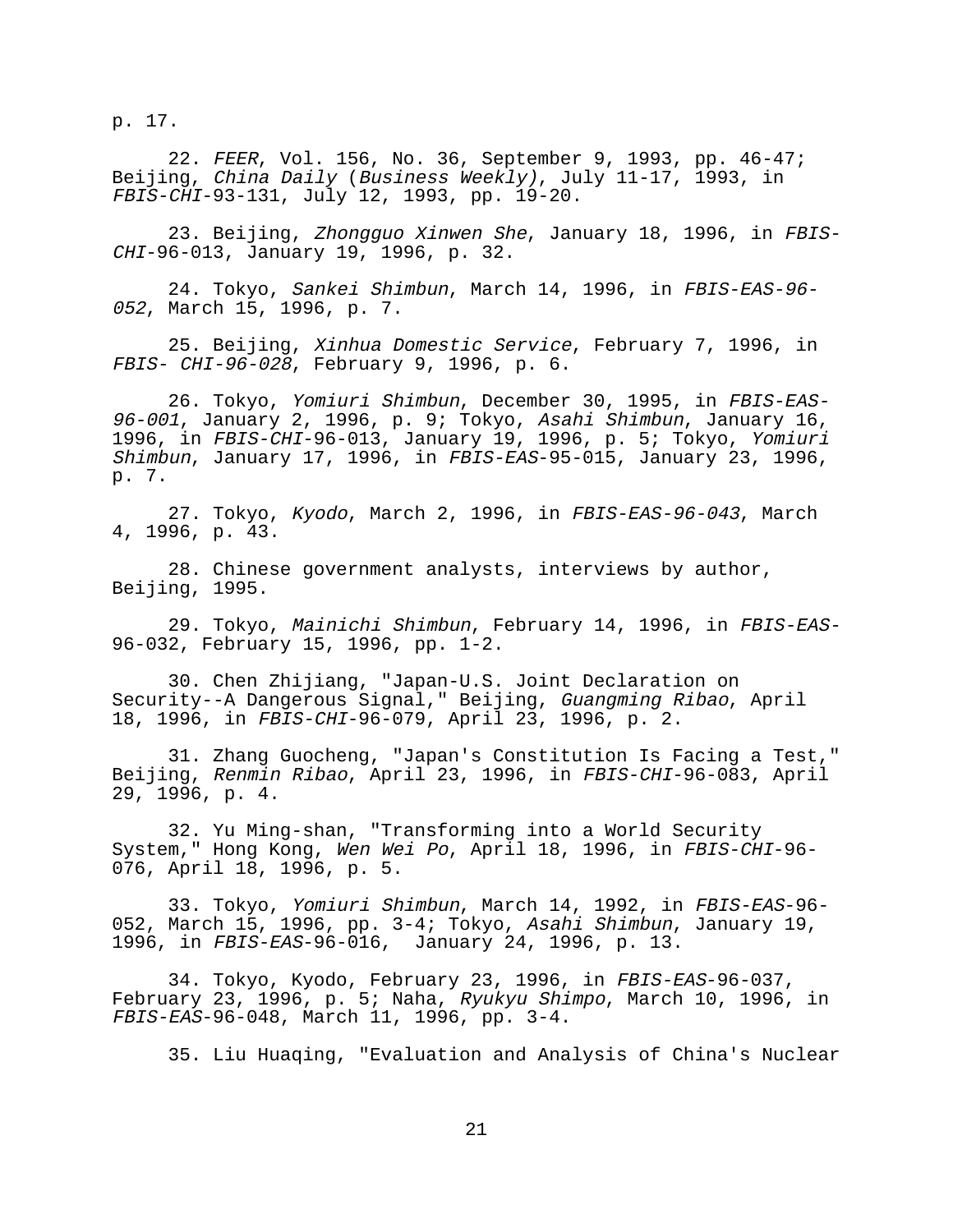p. 17.

22. FEER, Vol. 156, No. 36, September 9, 1993, pp. 46-47; Beijing, China Daily (Business Weekly), July 11-17, 1993, in FBIS-CHI-93-131, July 12, 1993, pp. 19-20.

23. Beijing, Zhongguo Xinwen She, January 18, 1996, in FBIS-CHI-96-013, January 19, 1996, p. 32.

24. Tokyo, Sankei Shimbun, March 14, 1996, in FBIS-EAS-96- <sup>052</sup>, March 15, 1996, p. 7.

25. Beijing, Xinhua Domestic Service, February 7, 1996, in FBIS- CHI-96-028, February 9, 1996, p. 6.

26. Tokyo, Yomiuri Shimbun, December 30, 1995, in FBIS-EAS-96-001, January 2, 1996, p. 9; Tokyo, Asahi Shimbun, January 16, 1996, in FBIS-CHI-96-013, January 19, 1996, p. 5; Tokyo, Yomiuri Shimbun, January 17, 1996, in FBIS-EAS-95-015, January 23, 1996, p. 7.

27. Tokyo, Kyodo, March 2, 1996, in FBIS-EAS-96-043, March 4, 1996, p. 43.

28. Chinese government analysts, interviews by author, Beijing, 1995.

29. Tokyo, Mainichi Shimbun, February 14, 1996, in FBIS-EAS-96-032, February 15, 1996, pp. 1-2.

30. Chen Zhijiang, "Japan-U.S. Joint Declaration on Security--A Dangerous Signal," Beijing, Guangming Ribao, April 18, 1996, in FBIS-CHI-96-079, April 23, 1996, p. 2.

31. Zhang Guocheng, "Japan's Constitution Is Facing a Test," Beijing, Renmin Ribao, April 23, 1996, in FBIS-CHI-96-083, April 29, 1996, p. 4.

32. Yu Ming-shan, "Transforming into a World Security System," Hong Kong, Wen Wei Po, April 18, 1996, in FBIS-CHI-96- 076, April 18, 1996, p. 5.

33. Tokyo, Yomiuri Shimbun, March 14, 1992, in FBIS-EAS-96- 052, March 15, 1996, pp. 3-4; Tokyo, Asahi Shimbun, January 19, 1996, in FBIS-EAS-96-016, January 24, 1996, p. 13.

34. Tokyo, Kyodo, February 23, 1996, in FBIS-EAS-96-037, February 23, 1996, p. 5; Naha, Ryukyu Shimpo, March 10, 1996, in FBIS-EAS-96-048, March 11, 1996, pp. 3-4.

35. Liu Huaqing, "Evaluation and Analysis of China's Nuclear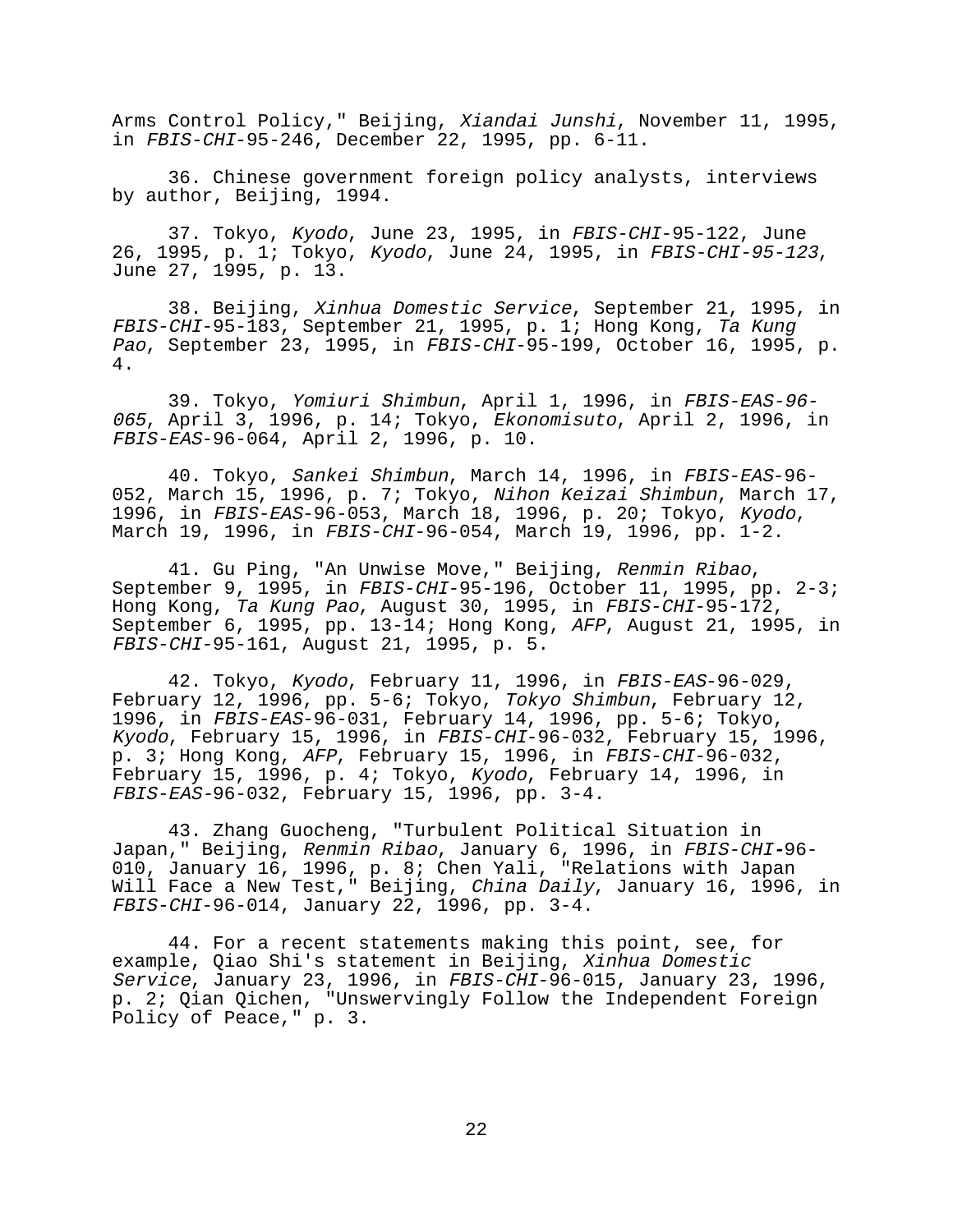Arms Control Policy," Beijing, Xiandai Junshi, November 11, 1995, in FBIS-CHI-95-246, December 22, 1995, pp. 6-11.

36. Chinese government foreign policy analysts, interviews by author, Beijing, 1994.

37. Tokyo, Kyodo, June 23, 1995, in FBIS-CHI-95-122, June 26, 1995, p. 1; Tokyo, Kyodo, June 24, 1995, in FBIS-CHI-95-123, June 27, 1995, p. 13.

38. Beijing, Xinhua Domestic Service, September 21, 1995, in FBIS-CHI-95-183, September 21, 1995, p. 1; Hong Kong, Ta Kung Pao, September 23, 1995, in FBIS-CHI-95-199, October 16, 1995, p. 4.

39. Tokyo, Yomiuri Shimbun, April 1, 1996, in FBIS-EAS-96- <sup>065</sup>, April 3, 1996, p. 14; Tokyo, Ekonomisuto, April 2, 1996, in FBIS-EAS-96-064, April 2, 1996, p. 10.

40. Tokyo, Sankei Shimbun, March 14, 1996, in FBIS-EAS-96- 052, March 15, 1996, p. 7; Tokyo, Nihon Keizai Shimbun, March 17, 1996, in FBIS-EAS-96-053, March 18, 1996, p. 20; Tokyo, Kyodo, March 19, 1996, in FBIS-CHI-96-054, March 19, 1996, pp. 1-2.

41. Gu Ping, "An Unwise Move," Beijing, Renmin Ribao, September 9, 1995, in FBIS-CHI-95-196, October 11, 1995, pp. 2-3; Hong Kong, Ta Kung Pao, August 30, 1995, in FBIS-CHI-95-172, September 6, 1995, pp. 13-14; Hong Kong, AFP, August 21, 1995, in FBIS-CHI-95-161, August 21, 1995, p. 5.

42. Tokyo, Kyodo, February 11, 1996, in FBIS-EAS-96-029, February 12, 1996, pp. 5-6; Tokyo, Tokyo Shimbun, February 12, 1996, in FBIS-EAS-96-031, February 14, 1996, pp. 5-6; Tokyo, Kyodo, February 15, 1996, in FBIS-CHI-96-032, February 15, 1996, p. 3; Hong Kong, AFP, February 15, 1996, in FBIS-CHI-96-032, February 15, 1996, p. 4; Tokyo, Kyodo, February 14, 1996, in FBIS-EAS-96-032, February 15, 1996, pp. 3-4.

43. Zhang Guocheng, "Turbulent Political Situation in Japan," Beijing, Renmin Ribao, January 6, 1996, in FBIS-CHI**-**96- 010, January 16, 1996, p. 8; Chen Yali, "Relations with Japan Will Face a New Test," Beijing, China Daily, January 16, 1996, in FBIS-CHI-96-014, January 22, 1996, pp. 3-4.

44. For a recent statements making this point, see, for example, Qiao Shi's statement in Beijing, Xinhua Domestic Service, January 23, 1996, in FBIS-CHI-96-015, January 23, 1996, p. 2; Qian Qichen, "Unswervingly Follow the Independent Foreign Policy of Peace," p. 3.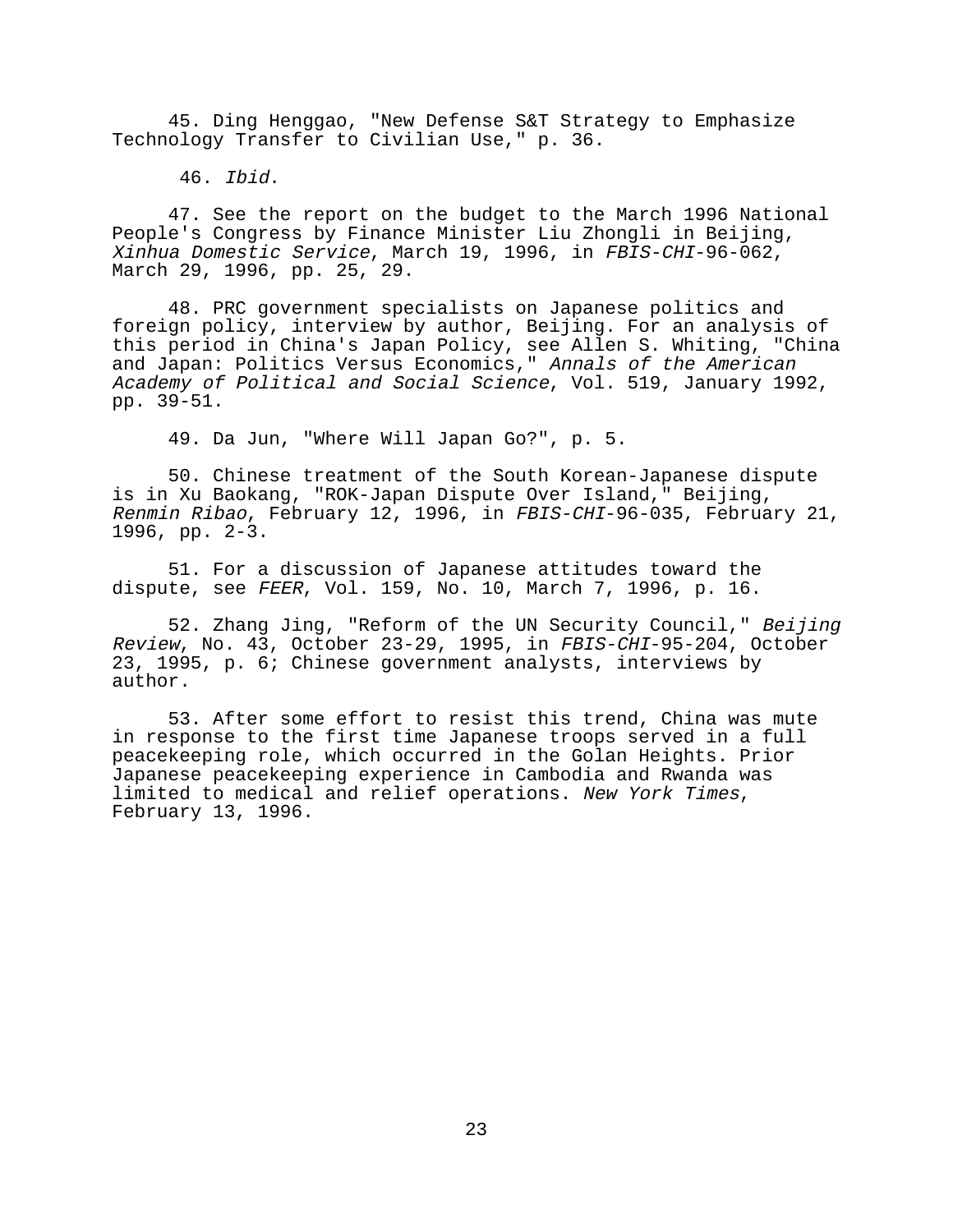45. Ding Henggao, "New Defense S&T Strategy to Emphasize Technology Transfer to Civilian Use," p. 36.

46. Ibid.

47. See the report on the budget to the March 1996 National People's Congress by Finance Minister Liu Zhongli in Beijing, Xinhua Domestic Service, March 19, 1996, in FBIS-CHI-96-062, March 29, 1996, pp. 25, 29.

48. PRC government specialists on Japanese politics and foreign policy, interview by author, Beijing. For an analysis of this period in China's Japan Policy, see Allen S. Whiting, "China and Japan: Politics Versus Economics," Annals of the American Academy of Political and Social Science, Vol. 519, January 1992, pp. 39-51.

49. Da Jun, "Where Will Japan Go?", p. 5.

50. Chinese treatment of the South Korean-Japanese dispute is in Xu Baokang, "ROK-Japan Dispute Over Island," Beijing, Renmin Ribao, February 12, 1996, in FBIS-CHI-96-035, February 21, 1996, pp. 2-3.

51. For a discussion of Japanese attitudes toward the dispute, see FEER, Vol. 159, No. 10, March 7, 1996, p. 16.

52. Zhang Jing, "Reform of the UN Security Council," Beijing Review, No. 43, October 23-29, 1995, in FBIS-CHI-95-204, October 23, 1995, p. 6; Chinese government analysts, interviews by author.

53. After some effort to resist this trend, China was mute in response to the first time Japanese troops served in a full peacekeeping role, which occurred in the Golan Heights. Prior Japanese peacekeeping experience in Cambodia and Rwanda was limited to medical and relief operations. New York Times, February 13, 1996.